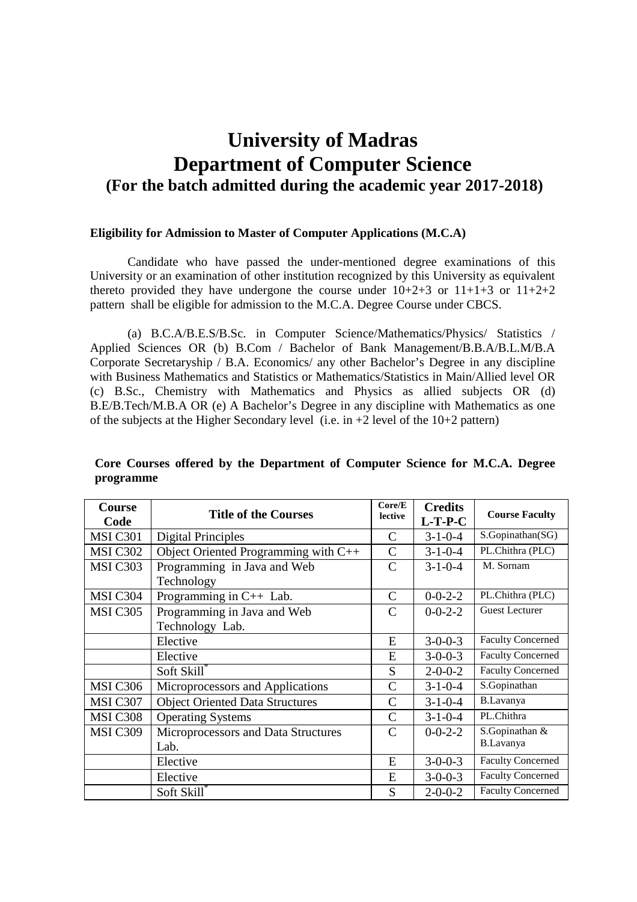# **University of Madras Department of Computer Science (For the batch admitted during the academic year 2017-2018)**

#### **Eligibility for Admission to Master of Computer Applications (M.C.A)**

 Candidate who have passed the under-mentioned degree examinations of this University or an examination of other institution recognized by this University as equivalent thereto provided they have undergone the course under  $10+2+3$  or  $11+1+3$  or  $11+2+2$ pattern shall be eligible for admission to the M.C.A. Degree Course under CBCS.

 (a) B.C.A/B.E.S/B.Sc. in Computer Science/Mathematics/Physics/ Statistics / Applied Sciences OR (b) B.Com / Bachelor of Bank Management/B.B.A/B.L.M/B.A Corporate Secretaryship / B.A. Economics/ any other Bachelor's Degree in any discipline with Business Mathematics and Statistics or Mathematics/Statistics in Main/Allied level OR (c) B.Sc., Chemistry with Mathematics and Physics as allied subjects OR (d) B.E/B.Tech/M.B.A OR (e) A Bachelor's Degree in any discipline with Mathematics as one of the subjects at the Higher Secondary level (i.e. in +2 level of the 10+2 pattern)

| Core Courses offered by the Department of Computer Science for M.C.A. Degree |  |  |  |  |  |
|------------------------------------------------------------------------------|--|--|--|--|--|
| programme                                                                    |  |  |  |  |  |

| Course          | <b>Title of the Courses</b>            | Core/E        | <b>Credits</b>  | <b>Course Faculty</b>    |
|-----------------|----------------------------------------|---------------|-----------------|--------------------------|
| Code            |                                        | lective       | $L-T-P-C$       |                          |
| <b>MSI C301</b> | <b>Digital Principles</b>              | C             | $3 - 1 - 0 - 4$ | S.Gopinathan(SG)         |
| <b>MSI C302</b> | Object Oriented Programming with C++   | $\mathcal{C}$ | $3 - 1 - 0 - 4$ | PL.Chithra (PLC)         |
| MSI C303        | Programming in Java and Web            | C             | $3 - 1 - 0 - 4$ | M. Sornam                |
|                 | Technology                             |               |                 |                          |
| MSI C304        | Programming in $C++$ Lab.              | $\mathsf{C}$  | $0 - 0 - 2 - 2$ | PL.Chithra (PLC)         |
| <b>MSI C305</b> | Programming in Java and Web            | C             | $0 - 0 - 2 - 2$ | <b>Guest Lecturer</b>    |
|                 | Technology Lab.                        |               |                 |                          |
|                 | Elective                               | E             | $3 - 0 - 0 - 3$ | <b>Faculty Concerned</b> |
|                 | Elective                               | E             | $3 - 0 - 0 - 3$ | <b>Faculty Concerned</b> |
|                 | Soft Skill*                            | S             | $2 - 0 - 0 - 2$ | <b>Faculty Concerned</b> |
| <b>MSI C306</b> | Microprocessors and Applications       | $\mathcal{C}$ | $3 - 1 - 0 - 4$ | S.Gopinathan             |
| MSI C307        | <b>Object Oriented Data Structures</b> | C             | $3 - 1 - 0 - 4$ | B.Lavanya                |
| <b>MSI C308</b> | <b>Operating Systems</b>               | C             | $3 - 1 - 0 - 4$ | PL.Chithra               |
| <b>MSI C309</b> | Microprocessors and Data Structures    | $\mathcal{C}$ | $0 - 0 - 2 - 2$ | S.Gopinathan &           |
|                 | Lab.                                   |               |                 | B.Lavanya                |
|                 | Elective                               | E             | $3 - 0 - 0 - 3$ | <b>Faculty Concerned</b> |
|                 | Elective                               | E             | $3 - 0 - 0 - 3$ | <b>Faculty Concerned</b> |
|                 | Soft Skill*                            | S             | $2 - 0 - 0 - 2$ | <b>Faculty Concerned</b> |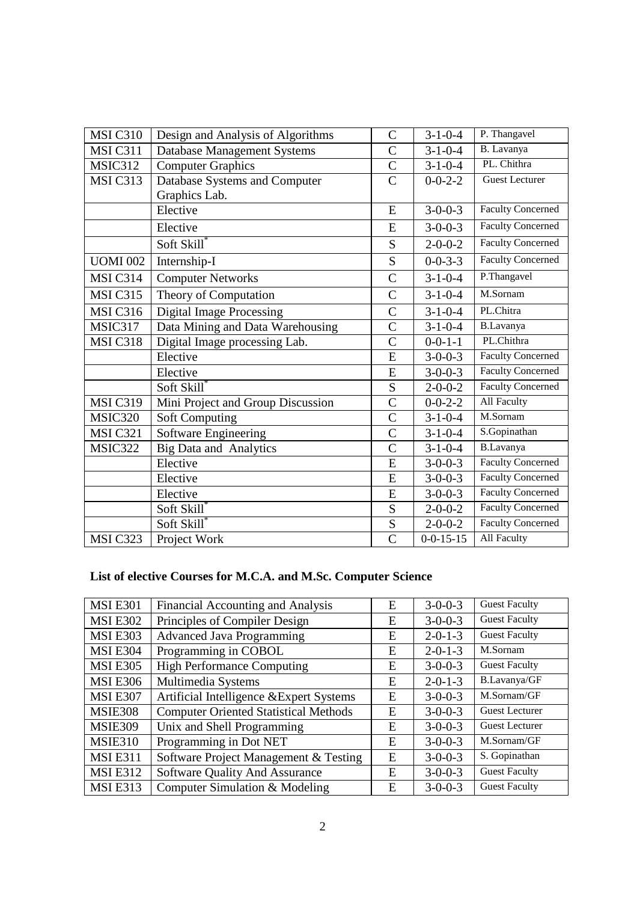| <b>MSI C310</b> | Design and Analysis of Algorithms  | $\mathcal{C}$  | $3 - 1 - 0 - 4$   | P. Thangavel             |
|-----------------|------------------------------------|----------------|-------------------|--------------------------|
| MSI C311        | <b>Database Management Systems</b> | $\overline{C}$ | $3 - 1 - 0 - 4$   | B. Lavanya               |
| MSIC312         | <b>Computer Graphics</b>           | $\overline{C}$ | $3 - 1 - 0 - 4$   | PL. Chithra              |
| MSI C313        | Database Systems and Computer      | $\mathsf{C}$   | $0 - 0 - 2 - 2$   | <b>Guest Lecturer</b>    |
|                 | Graphics Lab.                      |                |                   |                          |
|                 | Elective                           | E              | $3 - 0 - 0 - 3$   | <b>Faculty Concerned</b> |
|                 | Elective                           | E              | $3 - 0 - 0 - 3$   | <b>Faculty Concerned</b> |
|                 | Soft Skill*                        | S              | $2 - 0 - 0 - 2$   | <b>Faculty Concerned</b> |
| <b>UOMI 002</b> | Internship-I                       | S              | $0 - 0 - 3 - 3$   | <b>Faculty Concerned</b> |
| <b>MSI C314</b> | <b>Computer Networks</b>           | $\overline{C}$ | $3 - 1 - 0 - 4$   | P.Thangavel              |
| MSI C315        | Theory of Computation              | $\mathcal{C}$  | $3 - 1 - 0 - 4$   | M.Sornam                 |
| <b>MSI C316</b> | <b>Digital Image Processing</b>    | $\overline{C}$ | $3 - 1 - 0 - 4$   | PL.Chitra                |
| MSIC317         | Data Mining and Data Warehousing   | $\overline{C}$ | $3 - 1 - 0 - 4$   | <b>B.Lavanya</b>         |
| <b>MSI C318</b> | Digital Image processing Lab.      | $\overline{C}$ | $0 - 0 - 1 - 1$   | PL.Chithra               |
|                 | Elective                           | E              | $3 - 0 - 0 - 3$   | <b>Faculty Concerned</b> |
|                 | Elective                           | E              | $3 - 0 - 0 - 3$   | <b>Faculty Concerned</b> |
|                 | Soft Skill®                        | S              | $2 - 0 - 0 - 2$   | <b>Faculty Concerned</b> |
| <b>MSI C319</b> | Mini Project and Group Discussion  | $\mathcal{C}$  | $0 - 0 - 2 - 2$   | <b>All Faculty</b>       |
| MSIC320         | <b>Soft Computing</b>              | $\overline{C}$ | $3 - 1 - 0 - 4$   | M.Sornam                 |
| <b>MSI C321</b> | <b>Software Engineering</b>        | $\overline{C}$ | $3 - 1 - 0 - 4$   | S.Gopinathan             |
| MSIC322         | <b>Big Data and Analytics</b>      | $\overline{C}$ | $3 - 1 - 0 - 4$   | <b>B.Lavanya</b>         |
|                 | Elective                           | E              | $3 - 0 - 0 - 3$   | <b>Faculty Concerned</b> |
|                 | Elective                           | E              | $3 - 0 - 0 - 3$   | <b>Faculty Concerned</b> |
|                 | Elective                           | E              | $3 - 0 - 0 - 3$   | <b>Faculty Concerned</b> |
|                 | Soft Skill*                        | S              | $2 - 0 - 0 - 2$   | <b>Faculty Concerned</b> |
|                 | Soft Skill <sup>*</sup>            | S              | $2 - 0 - 0 - 2$   | <b>Faculty Concerned</b> |
| MSI C323        | Project Work                       | $\overline{C}$ | $0 - 0 - 15 - 15$ | All Faculty              |

## **List of elective Courses for M.C.A. and M.Sc. Computer Science**

| <b>MSI E301</b> | Financial Accounting and Analysis            | E | $3-0-0-3$       | <b>Guest Faculty</b>  |
|-----------------|----------------------------------------------|---|-----------------|-----------------------|
| <b>MSI E302</b> | Principles of Compiler Design                | E | $3 - 0 - 0 - 3$ | <b>Guest Faculty</b>  |
| <b>MSI E303</b> | <b>Advanced Java Programming</b>             | E | $2 - 0 - 1 - 3$ | <b>Guest Faculty</b>  |
| <b>MSI E304</b> | Programming in COBOL                         | E | $2 - 0 - 1 - 3$ | M.Sornam              |
| <b>MSI E305</b> | <b>High Performance Computing</b>            | E | $3-0-0-3$       | <b>Guest Faculty</b>  |
| <b>MSI E306</b> | Multimedia Systems                           | E | $2 - 0 - 1 - 3$ | B.Lavanya/GF          |
| <b>MSI E307</b> | Artificial Intelligence & Expert Systems     | E | $3 - 0 - 0 - 3$ | M.Sornam/GF           |
| <b>MSIE308</b>  | <b>Computer Oriented Statistical Methods</b> | E | $3-0-0-3$       | <b>Guest Lecturer</b> |
| <b>MSIE309</b>  | Unix and Shell Programming                   | E | $3 - 0 - 0 - 3$ | <b>Guest Lecturer</b> |
| <b>MSIE310</b>  | Programming in Dot NET                       | E | $3 - 0 - 0 - 3$ | M.Sornam/GF           |
| <b>MSIE311</b>  | Software Project Management & Testing        | E | $3-0-0-3$       | S. Gopinathan         |
| <b>MSI E312</b> | Software Quality And Assurance               | E | $3 - 0 - 0 - 3$ | <b>Guest Faculty</b>  |
| <b>MSIE313</b>  | Computer Simulation & Modeling               | E | $3 - 0 - 0 - 3$ | <b>Guest Faculty</b>  |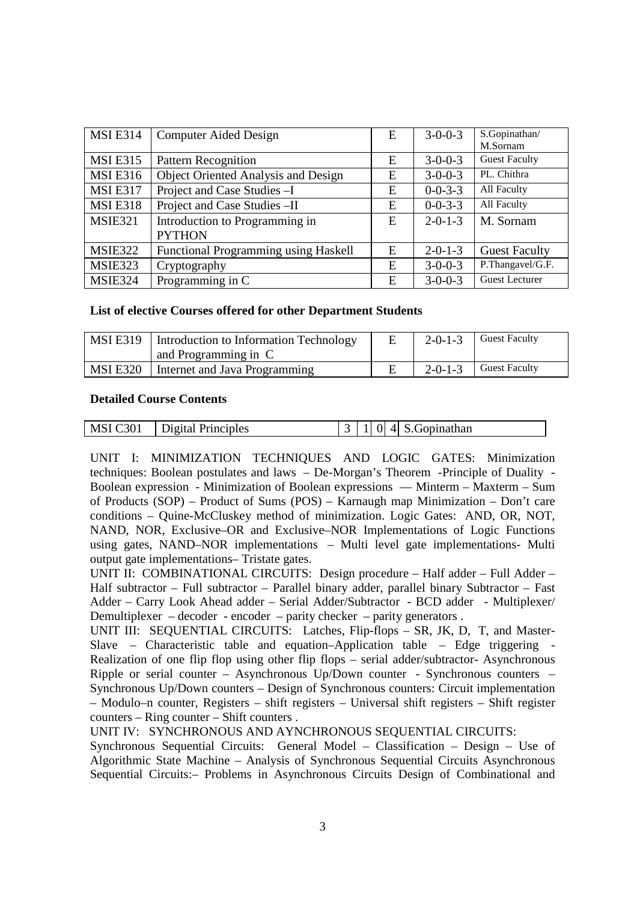| <b>MSIE314</b>  | <b>Computer Aided Design</b>                    | E | $3-0-0-3$       | S.Gopinathan/<br>M.Sornam |
|-----------------|-------------------------------------------------|---|-----------------|---------------------------|
| <b>MSI E315</b> | <b>Pattern Recognition</b>                      | E | $3 - 0 - 0 - 3$ | <b>Guest Faculty</b>      |
| <b>MSIE316</b>  | <b>Object Oriented Analysis and Design</b>      | E | $3-0-0-3$       | PL. Chithra               |
| <b>MSIE317</b>  | Project and Case Studies - I                    | E | $0 - 0 - 3 - 3$ | All Faculty               |
| <b>MSIE318</b>  | Project and Case Studies - II                   | E | $0 - 0 - 3 - 3$ | All Faculty               |
| <b>MSIE321</b>  | Introduction to Programming in<br><b>PYTHON</b> | E | $2 - 0 - 1 - 3$ | M. Sornam                 |
| <b>MSIE322</b>  | Functional Programming using Haskell            | Ε | $2 - 0 - 1 - 3$ | <b>Guest Faculty</b>      |
| MSIE323         | Cryptography                                    | E | $3-0-0-3$       | P.Thangavel/G.F.          |
| <b>MSIE324</b>  | Programming in C                                | E | $3 - 0 - 0 - 3$ | <b>Guest Lecturer</b>     |

#### **List of elective Courses offered for other Department Students**

| <b>MSI</b> E319 | Introduction to Information Technology<br>and Programming in C | $2 - 0 - 1 - 3$ | <b>Guest Faculty</b> |
|-----------------|----------------------------------------------------------------|-----------------|----------------------|
| MSI E320        | Internet and Java Programming                                  | $2 - 0 - 1 - 3$ | <b>Guest Faculty</b> |

#### **Detailed Course Contents**

| MSI C301 | Digital Principles |  |  |  | 41 | S.Gopinathan |
|----------|--------------------|--|--|--|----|--------------|
|----------|--------------------|--|--|--|----|--------------|

UNIT I: MINIMIZATION TECHNIQUES AND LOGIC GATES: Minimization techniques: Boolean postulates and laws – De-Morgan's Theorem -Principle of Duality - Boolean expression - Minimization of Boolean expressions –– Minterm – Maxterm – Sum of Products (SOP) – Product of Sums (POS) – Karnaugh map Minimization – Don't care conditions – Quine-McCluskey method of minimization. Logic Gates: AND, OR, NOT, NAND, NOR, Exclusive–OR and Exclusive–NOR Implementations of Logic Functions using gates, NAND–NOR implementations – Multi level gate implementations- Multi output gate implementations– Tristate gates.

UNIT II: COMBINATIONAL CIRCUITS:Design procedure – Half adder – Full Adder – Half subtractor – Full subtractor – Parallel binary adder, parallel binary Subtractor – Fast Adder – Carry Look Ahead adder – Serial Adder/Subtractor - BCD adder - Multiplexer/ Demultiplexer – decoder - encoder – parity checker – parity generators .

UNIT III: SEQUENTIAL CIRCUITS: Latches, Flip-flops - SR, JK, D, T, and Master-Slave – Characteristic table and equation–Application table – Edge triggering Realization of one flip flop using other flip flops – serial adder/subtractor- Asynchronous Ripple or serial counter – Asynchronous Up/Down counter - Synchronous counters – Synchronous Up/Down counters – Design of Synchronous counters: Circuit implementation – Modulo–n counter, Registers – shift registers – Universal shift registers – Shift register counters – Ring counter – Shift counters .

UNIT IV: SYNCHRONOUS AND AYNCHRONOUS SEQUENTIAL CIRCUITS:

Synchronous Sequential Circuits: General Model – Classification – Design – Use of Algorithmic State Machine – Analysis of Synchronous Sequential Circuits Asynchronous Sequential Circuits:– Problems in Asynchronous Circuits Design of Combinational and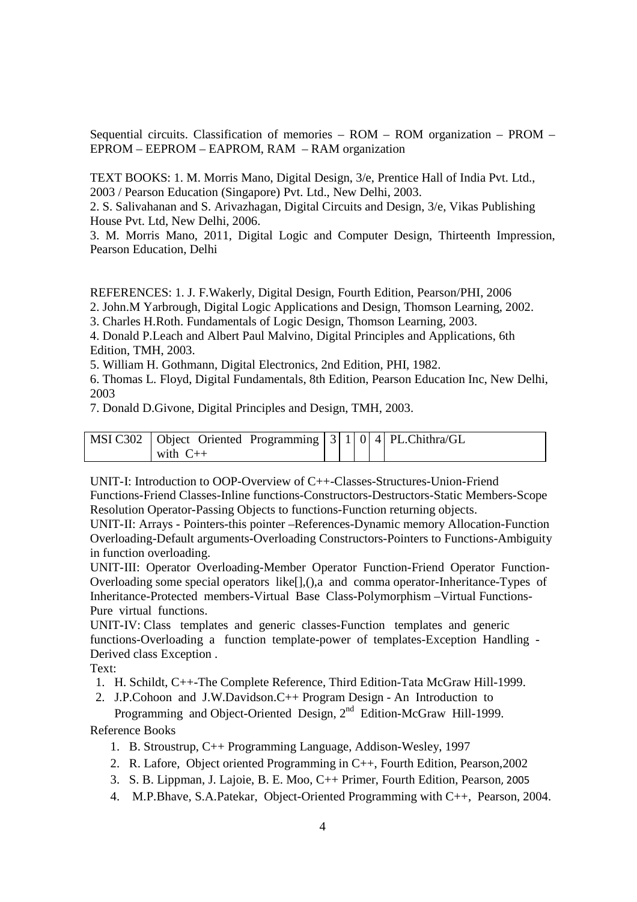Sequential circuits. Classification of memories – ROM – ROM organization – PROM – EPROM – EEPROM – EAPROM, RAM – RAM organization

TEXT BOOKS: 1. M. Morris Mano, Digital Design, 3/e, Prentice Hall of India Pvt. Ltd., 2003 / Pearson Education (Singapore) Pvt. Ltd., New Delhi, 2003.

2. S. Salivahanan and S. Arivazhagan, Digital Circuits and Design, 3/e, Vikas Publishing House Pvt. Ltd, New Delhi, 2006.

3. M. Morris Mano, 2011, Digital Logic and Computer Design, Thirteenth Impression, Pearson Education, Delhi

REFERENCES: 1. J. F.Wakerly, Digital Design, Fourth Edition, Pearson/PHI, 2006

2. John.M Yarbrough, Digital Logic Applications and Design, Thomson Learning, 2002.

3. Charles H.Roth. Fundamentals of Logic Design, Thomson Learning, 2003.

4. Donald P.Leach and Albert Paul Malvino, Digital Principles and Applications, 6th Edition, TMH, 2003.

5. William H. Gothmann, Digital Electronics, 2nd Edition, PHI, 1982.

6. Thomas L. Floyd, Digital Fundamentals, 8th Edition, Pearson Education Inc, New Delhi, 2003

7. Donald D.Givone, Digital Principles and Design, TMH, 2003.

| MSI C302   Object Oriented Programming   $3$   $1$   $0$   $4$   PL.Chithra/GL |  |  |  |
|--------------------------------------------------------------------------------|--|--|--|
| with $C++$                                                                     |  |  |  |

UNIT-I: Introduction to OOP-Overview of C++-Classes-Structures-Union-Friend Functions-Friend Classes-Inline functions-Constructors-Destructors-Static Members-Scope Resolution Operator-Passing Objects to functions-Function returning objects.

UNIT-II: Arrays - Pointers-this pointer –References-Dynamic memory Allocation-Function Overloading-Default arguments-Overloading Constructors-Pointers to Functions-Ambiguity in function overloading.

UNIT-III: Operator Overloading-Member Operator Function-Friend Operator Function-Overloading some special operators like[],(),a and comma operator-Inheritance-Types of Inheritance-Protected members-Virtual Base Class-Polymorphism –Virtual Functions-Pure virtual functions.

UNIT-IV: Class templates and generic classes-Function templates and generic functions-Overloading a function template-power of templates-Exception Handling - Derived class Exception .

Text:

- 1. H. Schildt, C++-The Complete Reference, Third Edition-Tata McGraw Hill-1999.
- 2. J.P.Cohoon and J.W.Davidson.C++ Program Design An Introduction to Programming and Object-Oriented Design, 2<sup>nd</sup> Edition-McGraw Hill-1999.

Reference Books

- 1. B. Stroustrup, C++ Programming Language, Addison-Wesley, 1997
- 2. R. Lafore, Object oriented Programming in C++, Fourth Edition, Pearson,2002
- 3. S. B. Lippman, J. Lajoie, B. E. Moo, C++ Primer, Fourth Edition, Pearson, 2005
- 4. M.P.Bhave, S.A.Patekar, Object-Oriented Programming with C++, Pearson, 2004.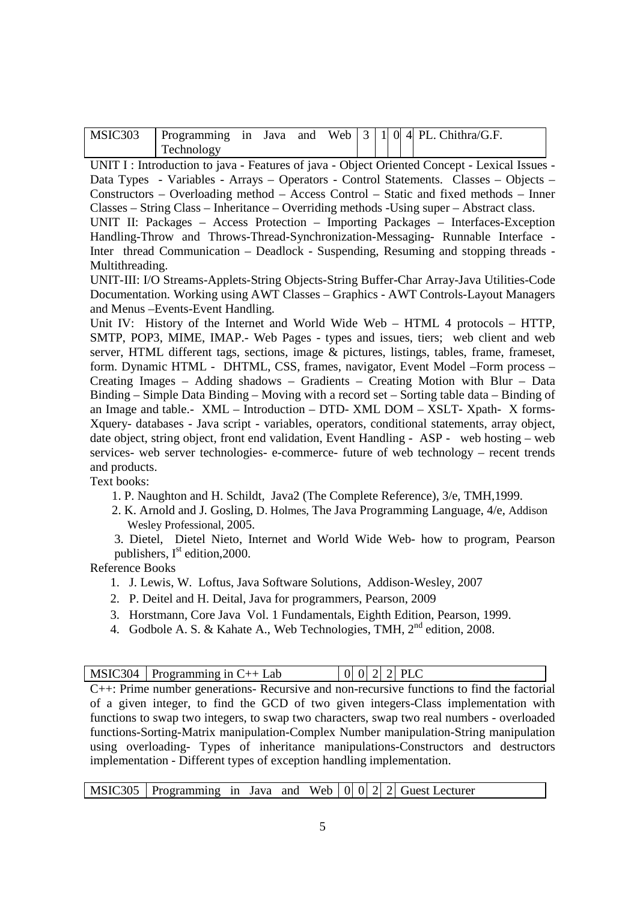| MSIC303 | Programming in Java |  | and |  |  | Web $\vert 3 \vert 1 \vert 0 \vert 4 \vert$ PL. Chithra/G.F. |  |
|---------|---------------------|--|-----|--|--|--------------------------------------------------------------|--|
|         | <b>Technology</b>   |  |     |  |  |                                                              |  |

UNIT I : Introduction to java - Features of java - Object Oriented Concept - Lexical Issues -Data Types - Variables - Arrays – Operators - Control Statements. Classes – Objects – Constructors – Overloading method – Access Control – Static and fixed methods – Inner Classes – String Class – Inheritance – Overriding methods -Using super – Abstract class. UNIT II: Packages – Access Protection – Importing Packages – Interfaces-Exception Handling-Throw and Throws-Thread-Synchronization-Messaging- Runnable Interface -

Inter thread Communication – Deadlock - Suspending, Resuming and stopping threads - Multithreading.

UNIT-III: I/O Streams-Applets-String Objects-String Buffer-Char Array-Java Utilities-Code Documentation. Working using AWT Classes – Graphics - AWT Controls-Layout Managers and Menus –Events-Event Handling.

Unit IV: History of the Internet and World Wide Web – HTML 4 protocols – HTTP, SMTP, POP3, MIME, IMAP.- Web Pages - types and issues, tiers; web client and web server, HTML different tags, sections, image & pictures, listings, tables, frame, frameset, form. Dynamic HTML - DHTML, CSS, frames, navigator, Event Model –Form process – Creating Images – Adding shadows – Gradients – Creating Motion with Blur – Data Binding – Simple Data Binding – Moving with a record set – Sorting table data – Binding of an Image and table.- XML – Introduction – DTD- XML DOM – XSLT- Xpath- X forms-Xquery- databases - Java script - variables, operators, conditional statements, array object, date object, string object, front end validation, Event Handling - ASP - web hosting – web services- web server technologies- e-commerce- future of web technology – recent trends and products.

Text books:

1. P. Naughton and H. Schildt, Java2 (The Complete Reference), 3/e, TMH,1999.

 2. K. Arnold and J. Gosling, D. Holmes, The Java Programming Language, 4/e, Addison Wesley Professional, 2005.

3. Dietel, Dietel Nieto, Internet and World Wide Web- how to program, Pearson publishers,  $I<sup>st</sup>$  edition, 2000.

Reference Books

- 1. J. Lewis, W. Loftus, Java Software Solutions, Addison-Wesley, 2007
- 2. P. Deitel and H. Deital, Java for programmers, Pearson, 2009
- 3. Horstmann, Core Java Vol. 1 Fundamentals, Eighth Edition, Pearson, 1999.
- 4. Godbole A. S. & Kahate A., Web Technologies, TMH, 2<sup>nd</sup> edition, 2008.

| $\vert$ MSIC304 $\vert$ Programming in C++ Lab | $ 0 0 2 2 $ PLC                                                                               |  |
|------------------------------------------------|-----------------------------------------------------------------------------------------------|--|
|                                                | $C++$ : Prime number generations- Recursive and non-recursive functions to find the factorial |  |
|                                                | of a given integer, to find the GCD of two given integers-Class implementation with           |  |

of a given integer, to find the GCD of two given integers-Class implementation with functions to swap two integers, to swap two characters, swap two real numbers - overloaded functions-Sorting-Matrix manipulation-Complex Number manipulation-String manipulation using overloading- Types of inheritance manipulations-Constructors and destructors implementation - Different types of exception handling implementation.

MSIC305 Programming in Java and Web  $\begin{bmatrix} 0 & 0 & 2 & 2 \end{bmatrix}$  Guest Lecturer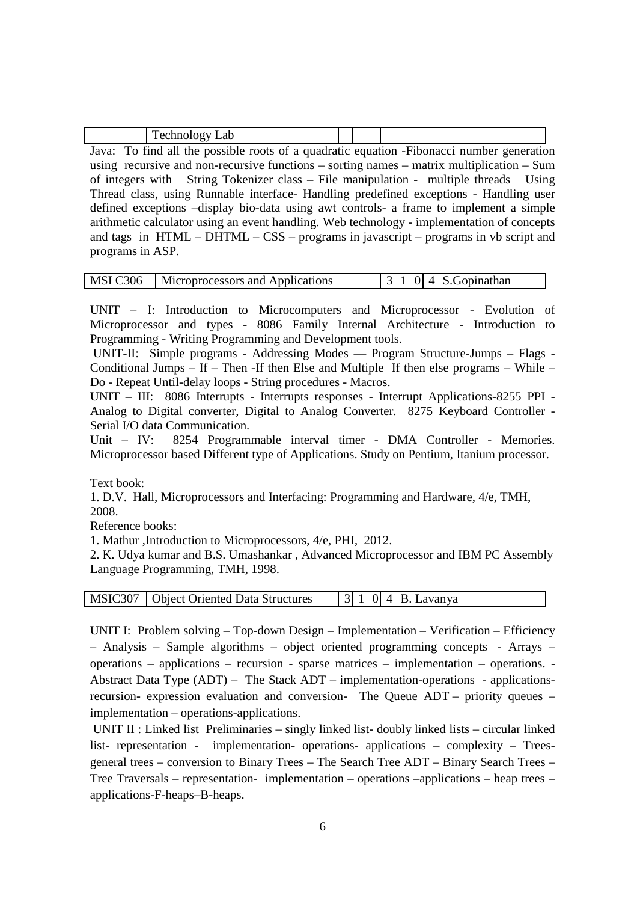| (11)<br>---- |  |  |  |
|--------------|--|--|--|
|--------------|--|--|--|

Java: To find all the possible roots of a quadratic equation -Fibonacci number generation using recursive and non-recursive functions – sorting names – matrix multiplication – Sum of integers with String Tokenizer class – File manipulation - multiple threads Using Thread class, using Runnable interface- Handling predefined exceptions - Handling user defined exceptions –display bio-data using awt controls- a frame to implement a simple arithmetic calculator using an event handling. Web technology - implementation of concepts and tags in HTML – DHTML – CSS – programs in javascript – programs in vb script and programs in ASP.

|  | MSI C306   Microprocessors and Applications |  |  |  |  | $ 3 1 0 4 $ S. Gopinathan |
|--|---------------------------------------------|--|--|--|--|---------------------------|
|--|---------------------------------------------|--|--|--|--|---------------------------|

UNIT – I: Introduction to Microcomputers and Microprocessor - Evolution of Microprocessor and types - 8086 Family Internal Architecture - Introduction to Programming - Writing Programming and Development tools.

 UNIT-II: Simple programs - Addressing Modes — Program Structure-Jumps – Flags - Conditional Jumps – If – Then -If then Else and Multiple If then else programs – While – Do - Repeat Until-delay loops - String procedures - Macros.

UNIT – III: 8086 Interrupts - Interrupts responses - Interrupt Applications-8255 PPI - Analog to Digital converter, Digital to Analog Converter. 8275 Keyboard Controller - Serial I/O data Communication.

Unit – IV: 8254 Programmable interval timer - DMA Controller - Memories. Microprocessor based Different type of Applications. Study on Pentium, Itanium processor.

Text book:

1. D.V. Hall, Microprocessors and Interfacing: Programming and Hardware, 4/e, TMH, 2008.

Reference books:

1. Mathur ,Introduction to Microprocessors, 4/e, PHI, 2012.

2. K. Udya kumar and B.S. Umashankar , Advanced Microprocessor and IBM PC Assembly Language Programming, TMH, 1998.

| MSIC307   Object Oriented Data Structures | $\begin{bmatrix} 3 & 1 & 0 & 4 \end{bmatrix}$ B. Lavanya |
|-------------------------------------------|----------------------------------------------------------|
|-------------------------------------------|----------------------------------------------------------|

UNIT I: Problem solving – Top-down Design – Implementation – Verification – Efficiency – Analysis – Sample algorithms – object oriented programming concepts - Arrays – operations – applications – recursion - sparse matrices – implementation – operations. - Abstract Data Type (ADT) – The Stack ADT – implementation-operations - applicationsrecursion- expression evaluation and conversion- The Queue ADT – priority queues – implementation – operations-applications.

 UNIT II : Linked list Preliminaries – singly linked list- doubly linked lists – circular linked list- representation - implementation- operations- applications – complexity – Treesgeneral trees – conversion to Binary Trees – The Search Tree ADT – Binary Search Trees – Tree Traversals – representation- implementation – operations –applications – heap trees – applications-F-heaps–B-heaps.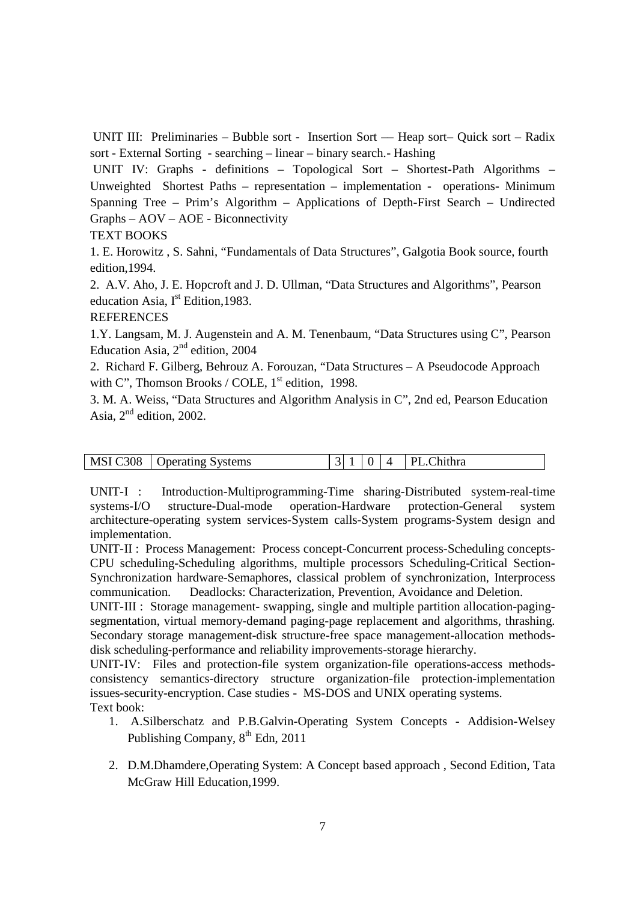UNIT III: Preliminaries – Bubble sort - Insertion Sort –– Heap sort– Quick sort – Radix sort - External Sorting - searching – linear – binary search.- Hashing

 UNIT IV: Graphs - definitions – Topological Sort – Shortest-Path Algorithms – Unweighted Shortest Paths – representation – implementation - operations- Minimum Spanning Tree – Prim's Algorithm – Applications of Depth-First Search – Undirected Graphs – AOV – AOE - Biconnectivity

#### TEXT BOOKS

1. E. Horowitz , S. Sahni, "Fundamentals of Data Structures", Galgotia Book source, fourth edition,1994.

2. A.V. Aho, J. E. Hopcroft and J. D. Ullman, "Data Structures and Algorithms", Pearson education Asia,  $I<sup>st</sup>$  Edition, 1983.

**REFERENCES** 

1.Y. Langsam, M. J. Augenstein and A. M. Tenenbaum, "Data Structures using C", Pearson Education Asia,  $2<sup>nd</sup>$  edition, 2004

2. Richard F. Gilberg, Behrouz A. Forouzan, "Data Structures – A Pseudocode Approach with C", Thomson Brooks / COLE,  $1<sup>st</sup>$  edition, 1998.

3. M. A. Weiss, "Data Structures and Algorithm Analysis in C", 2nd ed, Pearson Education Asia, 2nd edition, 2002.

| MSI C308   Operating Systems |  |  | $ 3 1 0 4$ PL. Chithra |
|------------------------------|--|--|------------------------|
|                              |  |  |                        |

UNIT-I : Introduction-Multiprogramming-Time sharing-Distributed system-real-time systems-I/O structure-Dual-mode operation-Hardware protection-General system architecture-operating system services-System calls-System programs-System design and implementation.

UNIT-II : Process Management: Process concept-Concurrent process-Scheduling concepts-CPU scheduling-Scheduling algorithms, multiple processors Scheduling-Critical Section-Synchronization hardware-Semaphores, classical problem of synchronization, Interprocess communication. Deadlocks: Characterization, Prevention, Avoidance and Deletion.

UNIT-III : Storage management- swapping, single and multiple partition allocation-pagingsegmentation, virtual memory-demand paging-page replacement and algorithms, thrashing. Secondary storage management-disk structure-free space management-allocation methodsdisk scheduling-performance and reliability improvements-storage hierarchy.

UNIT-IV: Files and protection-file system organization-file operations-access methodsconsistency semantics-directory structure organization-file protection-implementation issues-security-encryption. Case studies - MS-DOS and UNIX operating systems. Text book:

- 1. A.Silberschatz and P.B.Galvin-Operating System Concepts Addision-Welsey Publishing Company,  $8<sup>th</sup>$  Edn, 2011
- 2. D.M.Dhamdere,Operating System: A Concept based approach , Second Edition, Tata McGraw Hill Education,1999.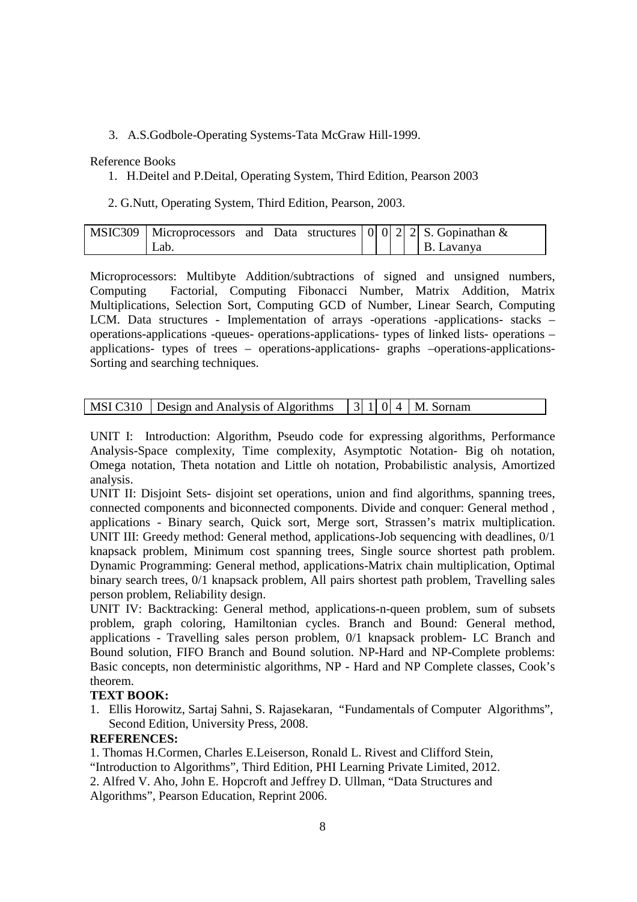### 3. A.S.Godbole-Operating Systems-Tata McGraw Hill-1999.

#### Reference Books

1. H.Deitel and P.Deital, Operating System, Third Edition, Pearson 2003

2. G.Nutt, Operating System, Third Edition, Pearson, 2003.

|     |  |  |  | MSIC309   Microprocessors and Data structures   0   0   2   2   S. Gopinathan & |
|-----|--|--|--|---------------------------------------------------------------------------------|
| Lab |  |  |  | B. Lavanya                                                                      |

Microprocessors: Multibyte Addition/subtractions of signed and unsigned numbers, Computing Factorial, Computing Fibonacci Number, Matrix Addition, Matrix Multiplications, Selection Sort, Computing GCD of Number, Linear Search, Computing LCM. Data structures - Implementation of arrays -operations -applications- stacks – operations-applications -queues- operations-applications- types of linked lists- operations – applications- types of trees – operations-applications- graphs –operations-applications-Sorting and searching techniques.

|  | MSI C310   Design and Analysis of Algorithms   $3$   1  0  4   M. Sornam |  |  |  |  |  |
|--|--------------------------------------------------------------------------|--|--|--|--|--|
|--|--------------------------------------------------------------------------|--|--|--|--|--|

UNIT I: Introduction: Algorithm, Pseudo code for expressing algorithms, Performance Analysis-Space complexity, Time complexity, Asymptotic Notation- Big oh notation, Omega notation, Theta notation and Little oh notation, Probabilistic analysis, Amortized analysis.

UNIT II: Disjoint Sets- disjoint set operations, union and find algorithms, spanning trees, connected components and biconnected components. Divide and conquer: General method , applications - Binary search, Quick sort, Merge sort, Strassen's matrix multiplication. UNIT III: Greedy method: General method, applications-Job sequencing with deadlines, 0/1 knapsack problem, Minimum cost spanning trees, Single source shortest path problem. Dynamic Programming: General method, applications-Matrix chain multiplication, Optimal binary search trees, 0/1 knapsack problem, All pairs shortest path problem, Travelling sales person problem, Reliability design.

UNIT IV: Backtracking: General method, applications-n-queen problem, sum of subsets problem, graph coloring, Hamiltonian cycles. Branch and Bound: General method, applications - Travelling sales person problem, 0/1 knapsack problem- LC Branch and Bound solution, FIFO Branch and Bound solution. NP-Hard and NP-Complete problems: Basic concepts, non deterministic algorithms, NP - Hard and NP Complete classes, Cook's theorem.

#### **TEXT BOOK:**

1. Ellis Horowitz, Sartaj Sahni, S. Rajasekaran, "Fundamentals of Computer Algorithms", Second Edition, University Press, 2008.

#### **REFERENCES:**

1. Thomas H.Cormen, Charles E.Leiserson, Ronald L. Rivest and Clifford Stein, "Introduction to Algorithms", Third Edition, PHI Learning Private Limited, 2012. 2. Alfred V. Aho, John E. Hopcroft and Jeffrey D. Ullman, "Data Structures and Algorithms", Pearson Education, Reprint 2006.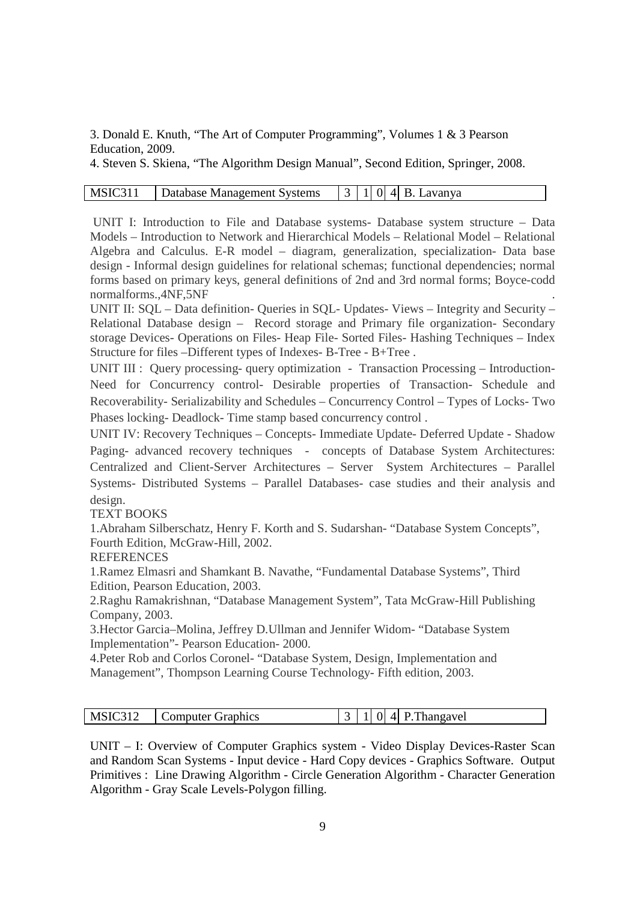3. Donald E. Knuth, "The Art of Computer Programming", Volumes 1 & 3 Pearson Education, 2009.

4. Steven S. Skiena, "The Algorithm Design Manual", Second Edition, Springer, 2008.

#### MSIC311 | Database Management Systems |  $3 \mid 1 \mid 0 \mid 4 \mid B$ . Lavanya

UNIT I: Introduction to File and Database systems- Database system structure – Data Models – Introduction to Network and Hierarchical Models – Relational Model – Relational Algebra and Calculus. E-R model – diagram, generalization, specialization- Data base design - Informal design guidelines for relational schemas; functional dependencies; normal forms based on primary keys, general definitions of 2nd and 3rd normal forms; Boyce-codd normalforms.,4NF,5NF .

UNIT II: SQL – Data definition- Queries in SQL- Updates- Views – Integrity and Security – Relational Database design – Record storage and Primary file organization- Secondary storage Devices- Operations on Files- Heap File- Sorted Files- Hashing Techniques – Index Structure for files –Different types of Indexes- B-Tree - B+Tree .

UNIT III : Query processing- query optimization - Transaction Processing – Introduction-Need for Concurrency control- Desirable properties of Transaction- Schedule and Recoverability- Serializability and Schedules – Concurrency Control – Types of Locks- Two Phases locking- Deadlock- Time stamp based concurrency control .

UNIT IV: Recovery Techniques – Concepts- Immediate Update- Deferred Update - Shadow Paging- advanced recovery techniques - concepts of Database System Architectures: Centralized and Client-Server Architectures – Server System Architectures – Parallel Systems- Distributed Systems – Parallel Databases- case studies and their analysis and design.

TEXT BOOKS

1.Abraham Silberschatz, Henry F. Korth and S. Sudarshan- "Database System Concepts", Fourth Edition, McGraw-Hill, 2002.

**REFERENCES** 

1.Ramez Elmasri and Shamkant B. Navathe, "Fundamental Database Systems", Third Edition, Pearson Education, 2003.

2.Raghu Ramakrishnan, "Database Management System", Tata McGraw-Hill Publishing Company, 2003.

3.Hector Garcia–Molina, Jeffrey D.Ullman and Jennifer Widom- "Database System Implementation"- Pearson Education- 2000.

4.Peter Rob and Corlos Coronel- "Database System, Design, Implementation and Management", Thompson Learning Course Technology- Fifth edition, 2003.

| MSIC312 | Computer Graphics |  |  |  |  | $\vert 3 \vert 1 \vert 0 \vert 4 \vert$ P. Thangavel |  |
|---------|-------------------|--|--|--|--|------------------------------------------------------|--|
|---------|-------------------|--|--|--|--|------------------------------------------------------|--|

UNIT – I: Overview of Computer Graphics system - Video Display Devices-Raster Scan and Random Scan Systems - Input device - Hard Copy devices - Graphics Software. Output Primitives : Line Drawing Algorithm - Circle Generation Algorithm - Character Generation Algorithm - Gray Scale Levels-Polygon filling.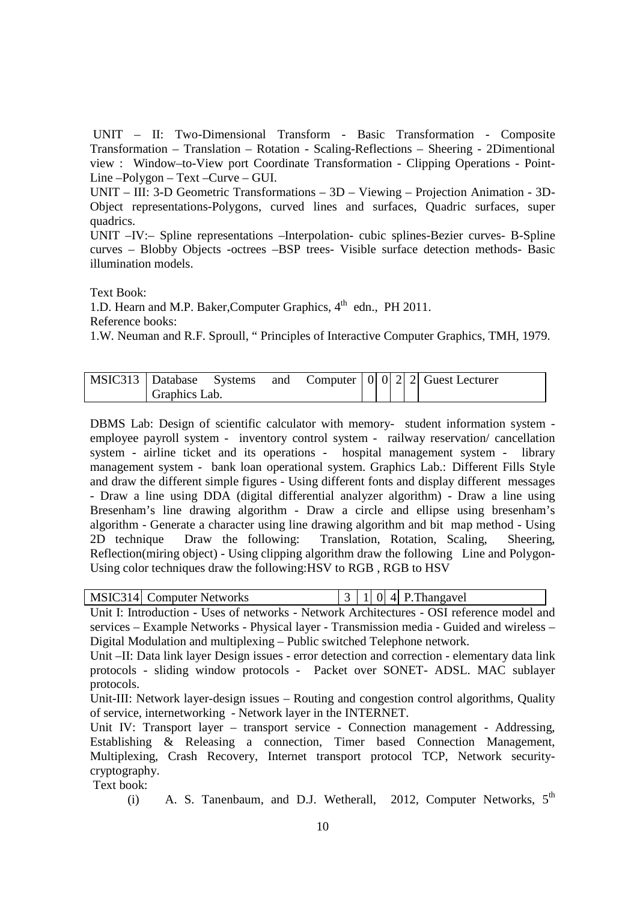UNIT – II: Two-Dimensional Transform - Basic Transformation - Composite Transformation – Translation – Rotation - Scaling-Reflections – Sheering - 2Dimentional view : Window–to-View port Coordinate Transformation - Clipping Operations - Point-Line –Polygon – Text –Curve – GUI.

UNIT – III: 3-D Geometric Transformations – 3D – Viewing – Projection Animation - 3D-Object representations-Polygons, curved lines and surfaces, Quadric surfaces, super quadrics.

UNIT –IV:– Spline representations –Interpolation- cubic splines-Bezier curves- B-Spline curves – Blobby Objects -octrees –BSP trees- Visible surface detection methods- Basic illumination models.

Text Book:

1.D. Hearn and M.P. Baker, Computer Graphics, 4<sup>th</sup> edn., PH 2011.

Reference books:

1.W. Neuman and R.F. Sproull, " Principles of Interactive Computer Graphics, TMH, 1979.

| MSIC313 Database Systems |               |  |  |  | and Computer $ 0 0 2 2 $ Guest Lecturer |
|--------------------------|---------------|--|--|--|-----------------------------------------|
|                          | Graphics Lab. |  |  |  |                                         |

DBMS Lab: Design of scientific calculator with memory- student information system employee payroll system - inventory control system - railway reservation/ cancellation system - airline ticket and its operations - hospital management system - library management system - bank loan operational system. Graphics Lab.: Different Fills Style and draw the different simple figures - Using different fonts and display different messages - Draw a line using DDA (digital differential analyzer algorithm) - Draw a line using Bresenham's line drawing algorithm - Draw a circle and ellipse using bresenham's algorithm - Generate a character using line drawing algorithm and bit map method - Using 2D technique Draw the following: Translation, Rotation, Scaling, Sheering, Reflection(miring object) - Using clipping algorithm draw the following Line and Polygon-Using color techniques draw the following:HSV to RGB , RGB to HSV

| MSIC314 Computer Networks |  |  |  |  | $\vert 3 \vert 1 \vert 0 \vert 4 \vert$ P. Thangavel |  |
|---------------------------|--|--|--|--|------------------------------------------------------|--|
|---------------------------|--|--|--|--|------------------------------------------------------|--|

Unit I: Introduction - Uses of networks - Network Architectures - OSI reference model and services – Example Networks - Physical layer - Transmission media - Guided and wireless – Digital Modulation and multiplexing – Public switched Telephone network.

Unit –II: Data link layer Design issues - error detection and correction - elementary data link protocols - sliding window protocols - Packet over SONET- ADSL. MAC sublayer protocols.

Unit-III: Network layer-design issues – Routing and congestion control algorithms, Quality of service, internetworking - Network layer in the INTERNET.

Unit IV: Transport layer – transport service - Connection management - Addressing, Establishing & Releasing a connection, Timer based Connection Management, Multiplexing, Crash Recovery, Internet transport protocol TCP, Network securitycryptography.

Text book:

(i) A. S. Tanenbaum, and D.J. Wetherall, 2012, Computer Networks,  $5<sup>th</sup>$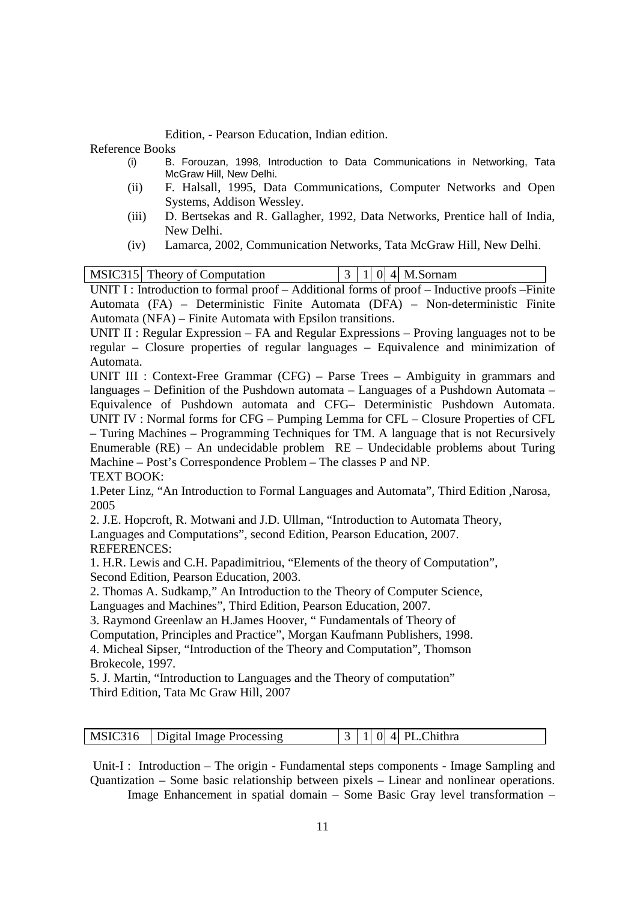Edition, - Pearson Education, Indian edition.

Reference Books

- (i) B. Forouzan, 1998, Introduction to Data Communications in Networking, Tata McGraw Hill, New Delhi.
- (ii) F. Halsall, 1995, Data Communications, Computer Networks and Open Systems, Addison Wessley.
- (iii) D. Bertsekas and R. Gallagher, 1992, Data Networks, Prentice hall of India, New Delhi.
- (iv) Lamarca, 2002, Communication Networks, Tata McGraw Hill, New Delhi.

|  | MSIC315 Theory of Computation |  |  | $ 3 1 0 4 $ M.Sornam |  |  |  |
|--|-------------------------------|--|--|----------------------|--|--|--|
|  |                               |  |  |                      |  |  |  |

UNIT I : Introduction to formal proof – Additional forms of proof – Inductive proofs – Finite Automata (FA) – Deterministic Finite Automata (DFA) – Non-deterministic Finite Automata (NFA) – Finite Automata with Epsilon transitions.

UNIT II : Regular Expression – FA and Regular Expressions – Proving languages not to be regular – Closure properties of regular languages – Equivalence and minimization of Automata.

UNIT III : Context-Free Grammar (CFG) – Parse Trees – Ambiguity in grammars and languages – Definition of the Pushdown automata – Languages of a Pushdown Automata – Equivalence of Pushdown automata and CFG– Deterministic Pushdown Automata. UNIT IV : Normal forms for CFG – Pumping Lemma for CFL – Closure Properties of CFL – Turing Machines – Programming Techniques for TM. A language that is not Recursively Enumerable (RE) – An undecidable problem RE – Undecidable problems about Turing Machine – Post's Correspondence Problem – The classes P and NP. TEXT BOOK:

1.Peter Linz, "An Introduction to Formal Languages and Automata", Third Edition ,Narosa, 2005

2. J.E. Hopcroft, R. Motwani and J.D. Ullman, "Introduction to Automata Theory,

Languages and Computations", second Edition, Pearson Education, 2007. REFERENCES:

1. H.R. Lewis and C.H. Papadimitriou, "Elements of the theory of Computation", Second Edition, Pearson Education, 2003.

2. Thomas A. Sudkamp," An Introduction to the Theory of Computer Science,

Languages and Machines", Third Edition, Pearson Education, 2007.

3. Raymond Greenlaw an H.James Hoover, " Fundamentals of Theory of

Computation, Principles and Practice", Morgan Kaufmann Publishers, 1998.

4. Micheal Sipser, "Introduction of the Theory and Computation", Thomson Brokecole, 1997.

5. J. Martin, "Introduction to Languages and the Theory of computation" Third Edition, Tata Mc Graw Hill, 2007

|  | MSIC316   Digital Image Processing |  |  |  |  | $ 3 1 0 4 $ PL. Chithra |
|--|------------------------------------|--|--|--|--|-------------------------|
|--|------------------------------------|--|--|--|--|-------------------------|

 Unit-I : Introduction – The origin - Fundamental steps components - Image Sampling and Quantization – Some basic relationship between pixels – Linear and nonlinear operations. Image Enhancement in spatial domain – Some Basic Gray level transformation –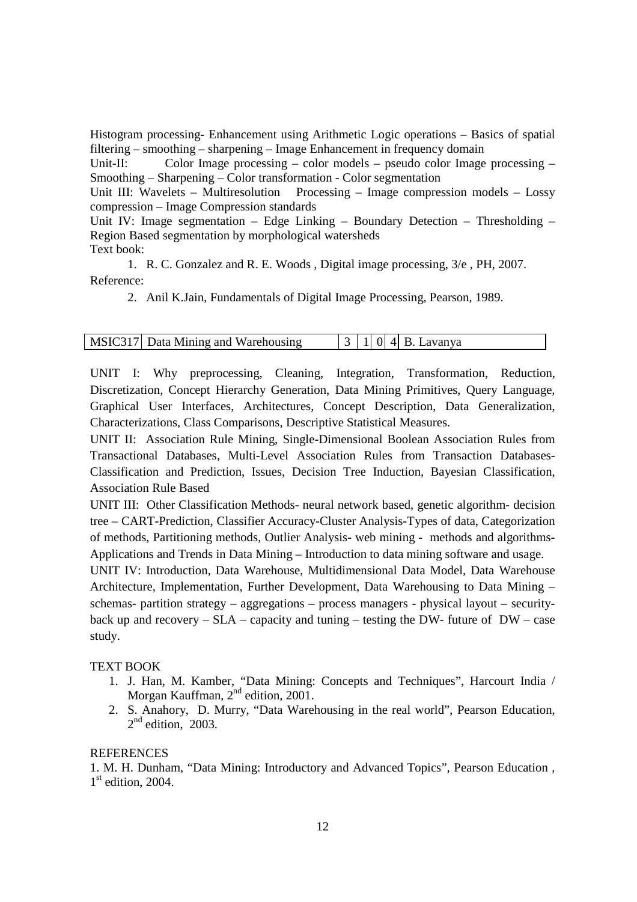Histogram processing- Enhancement using Arithmetic Logic operations – Basics of spatial filtering – smoothing – sharpening – Image Enhancement in frequency domain

Unit-II: Color Image processing – color models – pseudo color Image processing – Smoothing – Sharpening – Color transformation - Color segmentation

Unit III: Wavelets – Multiresolution Processing – Image compression models – Lossy compression – Image Compression standards

Unit IV: Image segmentation – Edge Linking – Boundary Detection – Thresholding – Region Based segmentation by morphological watersheds Text book:

1. R. C. Gonzalez and R. E. Woods , Digital image processing, 3/e , PH, 2007. Reference:

2. Anil K.Jain, Fundamentals of Digital Image Processing, Pearson, 1989.

| MSIC317 Data Mining and Warehousing |  |  | $ 3 1 0 4 B$ . Lavanya |
|-------------------------------------|--|--|------------------------|
|                                     |  |  |                        |

UNIT I: Why preprocessing, Cleaning, Integration, Transformation, Reduction, Discretization, Concept Hierarchy Generation, Data Mining Primitives, Query Language, Graphical User Interfaces, Architectures, Concept Description, Data Generalization, Characterizations, Class Comparisons, Descriptive Statistical Measures.

UNIT II: Association Rule Mining, Single-Dimensional Boolean Association Rules from Transactional Databases, Multi-Level Association Rules from Transaction Databases-Classification and Prediction, Issues, Decision Tree Induction, Bayesian Classification, Association Rule Based

UNIT III: Other Classification Methods- neural network based, genetic algorithm- decision tree – CART-Prediction, Classifier Accuracy-Cluster Analysis-Types of data, Categorization of methods, Partitioning methods, Outlier Analysis- web mining - methods and algorithms-Applications and Trends in Data Mining – Introduction to data mining software and usage.

UNIT IV: Introduction, Data Warehouse, Multidimensional Data Model, Data Warehouse Architecture, Implementation, Further Development, Data Warehousing to Data Mining – schemas- partition strategy – aggregations – process managers - physical layout – securityback up and recovery –  $SLA$  – capacity and tuning – testing the DW- future of DW – case study.

#### TEXT BOOK

- 1. J. Han, M. Kamber, "Data Mining: Concepts and Techniques", Harcourt India / Morgan Kauffman,  $2<sup>nd</sup>$  edition, 2001.
- 2. S. Anahory, D. Murry, "Data Warehousing in the real world", Pearson Education,  $2<sup>nd</sup>$  edition, 2003.

#### REFERENCES

1. M. H. Dunham, "Data Mining: Introductory and Advanced Topics", Pearson Education , 1<sup>st</sup> edition, 2004.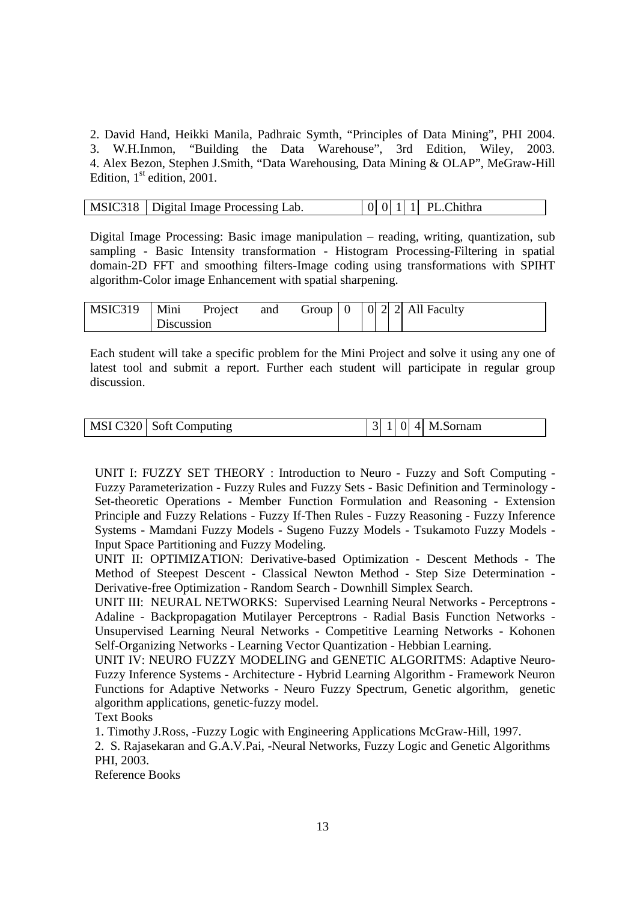2. David Hand, Heikki Manila, Padhraic Symth, "Principles of Data Mining", PHI 2004. 3. W.H.Inmon, "Building the Data Warehouse", 3rd Edition, Wiley, 2003. 4. Alex Bezon, Stephen J.Smith, "Data Warehousing, Data Mining & OLAP", MeGraw-Hill Edition,  $1<sup>st</sup>$  edition, 2001.

| MSIC318   Digital Image Processing Lab. |  |  | $\begin{bmatrix} 0 & 0 & 1 & 1 \end{bmatrix}$ PL. Chithra |
|-----------------------------------------|--|--|-----------------------------------------------------------|
|                                         |  |  |                                                           |

Digital Image Processing: Basic image manipulation – reading, writing, quantization, sub sampling - Basic Intensity transformation - Histogram Processing-Filtering in spatial domain-2D FFT and smoothing filters-Image coding using transformations with SPIHT algorithm-Color image Enhancement with spatial sharpening.

| MSIC319 | Mini       | Project | and | Group $\vert 0 \vert$ |  |  | $\vert$ 0 2 2 All Faculty |
|---------|------------|---------|-----|-----------------------|--|--|---------------------------|
|         | Discussion |         |     |                       |  |  |                           |

Each student will take a specific problem for the Mini Project and solve it using any one of latest tool and submit a report. Further each student will participate in regular group discussion.

|  | MSI C320 Soft Computing | 3 <sup>1</sup> |  |  |  | $0$   4  M.Sornam |
|--|-------------------------|----------------|--|--|--|-------------------|
|--|-------------------------|----------------|--|--|--|-------------------|

UNIT I: FUZZY SET THEORY : Introduction to Neuro - Fuzzy and Soft Computing - Fuzzy Parameterization - Fuzzy Rules and Fuzzy Sets - Basic Definition and Terminology - Set-theoretic Operations - Member Function Formulation and Reasoning - Extension Principle and Fuzzy Relations - Fuzzy If-Then Rules - Fuzzy Reasoning - Fuzzy Inference Systems - Mamdani Fuzzy Models - Sugeno Fuzzy Models - Tsukamoto Fuzzy Models - Input Space Partitioning and Fuzzy Modeling.

UNIT II: OPTIMIZATION: Derivative-based Optimization - Descent Methods - The Method of Steepest Descent - Classical Newton Method - Step Size Determination - Derivative-free Optimization - Random Search - Downhill Simplex Search.

UNIT III: NEURAL NETWORKS: Supervised Learning Neural Networks - Perceptrons - Adaline - Backpropagation Mutilayer Perceptrons - Radial Basis Function Networks - Unsupervised Learning Neural Networks - Competitive Learning Networks - Kohonen Self-Organizing Networks - Learning Vector Quantization - Hebbian Learning.

UNIT IV: NEURO FUZZY MODELING and GENETIC ALGORITMS: Adaptive Neuro-Fuzzy Inference Systems - Architecture - Hybrid Learning Algorithm - Framework Neuron Functions for Adaptive Networks - Neuro Fuzzy Spectrum, Genetic algorithm, genetic algorithm applications, genetic-fuzzy model.

Text Books

1. Timothy J.Ross, -Fuzzy Logic with Engineering Applications McGraw-Hill, 1997.

2. S. Rajasekaran and G.A.V.Pai, -Neural Networks, Fuzzy Logic and Genetic Algorithms PHI, 2003.

Reference Books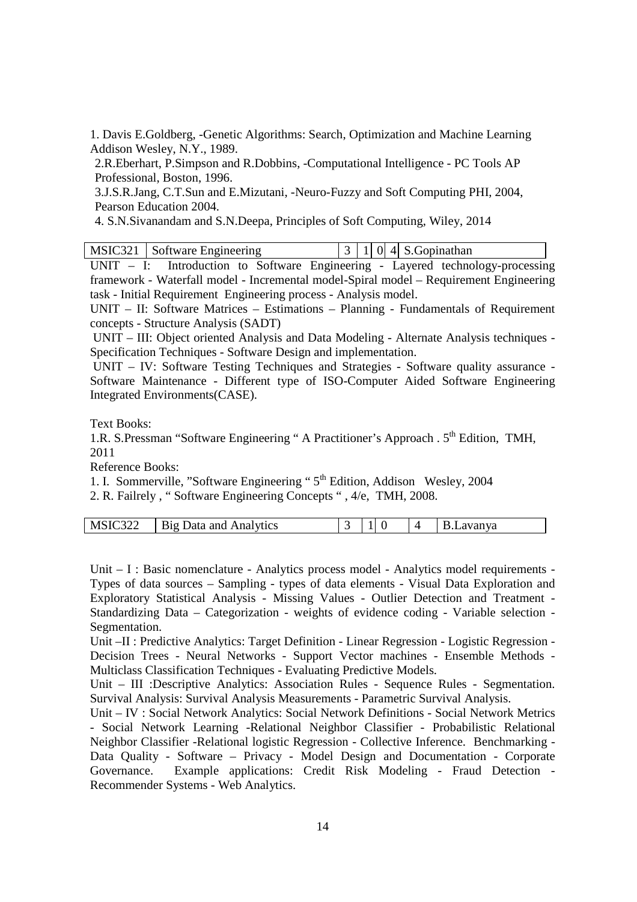1. Davis E.Goldberg, -Genetic Algorithms: Search, Optimization and Machine Learning Addison Wesley, N.Y., 1989.

2.R.Eberhart, P.Simpson and R.Dobbins, -Computational Intelligence - PC Tools AP Professional, Boston, 1996.

3.J.S.R.Jang, C.T.Sun and E.Mizutani, -Neuro-Fuzzy and Soft Computing PHI, 2004, Pearson Education 2004.

4. S.N.Sivanandam and S.N.Deepa, Principles of Soft Computing, Wiley, 2014

UNIT – I: Introduction to Software Engineering - Layered technology-processing framework - Waterfall model - Incremental model-Spiral model – Requirement Engineering task - Initial Requirement Engineering process - Analysis model.

UNIT – II: Software Matrices – Estimations – Planning - Fundamentals of Requirement concepts - Structure Analysis (SADT)

 UNIT – III: Object oriented Analysis and Data Modeling - Alternate Analysis techniques - Specification Techniques - Software Design and implementation.

 UNIT – IV: Software Testing Techniques and Strategies - Software quality assurance - Software Maintenance - Different type of ISO-Computer Aided Software Engineering Integrated Environments(CASE).

Text Books:

1.R. S.Pressman "Software Engineering " A Practitioner's Approach . 5<sup>th</sup> Edition, TMH, 2011

Reference Books:

1. I. Sommerville, "Software Engineering "  $5<sup>th</sup>$  Edition, Addison Wesley, 2004

2. R. Failrely , " Software Engineering Concepts " , 4/e, TMH, 2008.

| MSIC322<br>Data and Analytics<br>B19 |  |  |  |  | $\sim$ $\sim$<br>avanya<br>., |
|--------------------------------------|--|--|--|--|-------------------------------|
|--------------------------------------|--|--|--|--|-------------------------------|

Unit – I : Basic nomenclature - Analytics process model - Analytics model requirements - Types of data sources – Sampling - types of data elements - Visual Data Exploration and Exploratory Statistical Analysis - Missing Values - Outlier Detection and Treatment - Standardizing Data – Categorization - weights of evidence coding - Variable selection - Segmentation.

Unit –II : Predictive Analytics: Target Definition - Linear Regression - Logistic Regression - Decision Trees - Neural Networks - Support Vector machines - Ensemble Methods - Multiclass Classification Techniques - Evaluating Predictive Models.

Unit – III :Descriptive Analytics: Association Rules - Sequence Rules - Segmentation. Survival Analysis: Survival Analysis Measurements - Parametric Survival Analysis.

Unit – IV : Social Network Analytics: Social Network Definitions - Social Network Metrics - Social Network Learning -Relational Neighbor Classifier - Probabilistic Relational Neighbor Classifier -Relational logistic Regression - Collective Inference. Benchmarking - Data Quality - Software – Privacy - Model Design and Documentation - Corporate Governance. Example applications: Credit Risk Modeling - Fraud Detection - Recommender Systems - Web Analytics.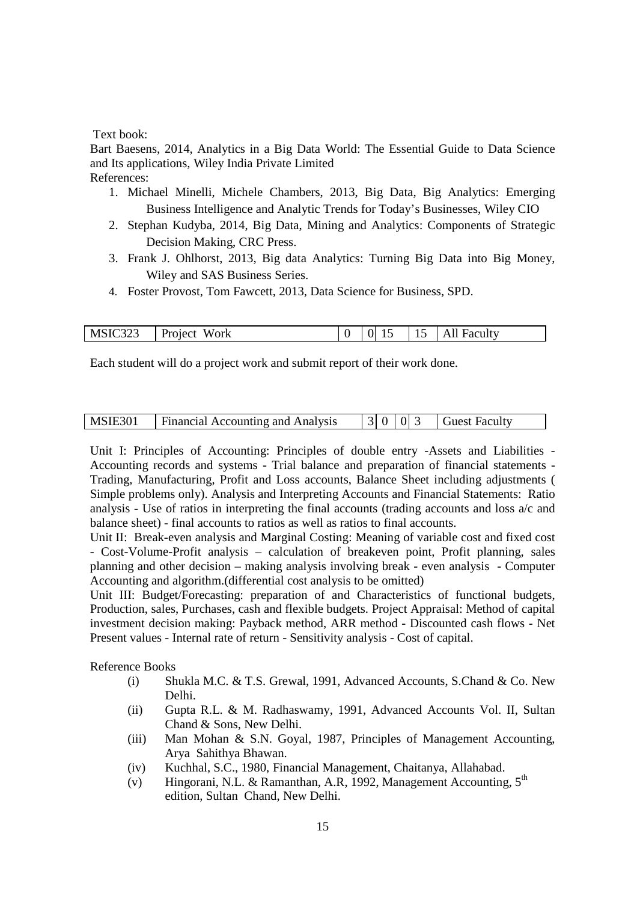#### Text book:

Bart Baesens, 2014, Analytics in a Big Data World: The Essential Guide to Data Science and Its applications, Wiley India Private Limited References:

- 1. Michael Minelli, Michele Chambers, 2013, Big Data, Big Analytics: Emerging Business Intelligence and Analytic Trends for Today's Businesses, Wiley CIO
- 2. Stephan Kudyba, 2014, Big Data, Mining and Analytics: Components of Strategic Decision Making, CRC Press.
- 3. Frank J. Ohlhorst, 2013, Big data Analytics: Turning Big Data into Big Money, Wiley and SAS Business Series.
- 4. Foster Provost, Tom Fawcett, 2013, Data Science for Business, SPD.

| MSIC323 | Work<br>  Project |  | 0 15 | $\vert$ 15   All Faculty |
|---------|-------------------|--|------|--------------------------|

Each student will do a project work and submit report of their work done.

| MSIE301 | Financial Accounting and Analysis |  | 3 0 03 |  |  | <b>Guest Faculty</b> |  |
|---------|-----------------------------------|--|--------|--|--|----------------------|--|
|---------|-----------------------------------|--|--------|--|--|----------------------|--|

Unit I: Principles of Accounting: Principles of double entry -Assets and Liabilities - Accounting records and systems - Trial balance and preparation of financial statements - Trading, Manufacturing, Profit and Loss accounts, Balance Sheet including adjustments ( Simple problems only). Analysis and Interpreting Accounts and Financial Statements: Ratio analysis - Use of ratios in interpreting the final accounts (trading accounts and loss a/c and balance sheet) - final accounts to ratios as well as ratios to final accounts.

Unit II: Break-even analysis and Marginal Costing: Meaning of variable cost and fixed cost - Cost-Volume-Profit analysis – calculation of breakeven point, Profit planning, sales planning and other decision – making analysis involving break - even analysis - Computer Accounting and algorithm.(differential cost analysis to be omitted)

Unit III: Budget/Forecasting: preparation of and Characteristics of functional budgets, Production, sales, Purchases, cash and flexible budgets. Project Appraisal: Method of capital investment decision making: Payback method, ARR method - Discounted cash flows - Net Present values - Internal rate of return - Sensitivity analysis - Cost of capital.

Reference Books

- (i) Shukla M.C. & T.S. Grewal, 1991, Advanced Accounts, S.Chand & Co. New Delhi.
- (ii) Gupta R.L. & M. Radhaswamy, 1991, Advanced Accounts Vol. II, Sultan Chand & Sons, New Delhi.
- (iii) Man Mohan & S.N. Goyal, 1987, Principles of Management Accounting, Arya Sahithya Bhawan.
- (iv) Kuchhal, S.C., 1980, Financial Management, Chaitanya, Allahabad.
- (v) Hingorani, N.L. & Ramanthan, A.R, 1992, Management Accounting,  $5<sup>th</sup>$ edition, Sultan Chand, New Delhi.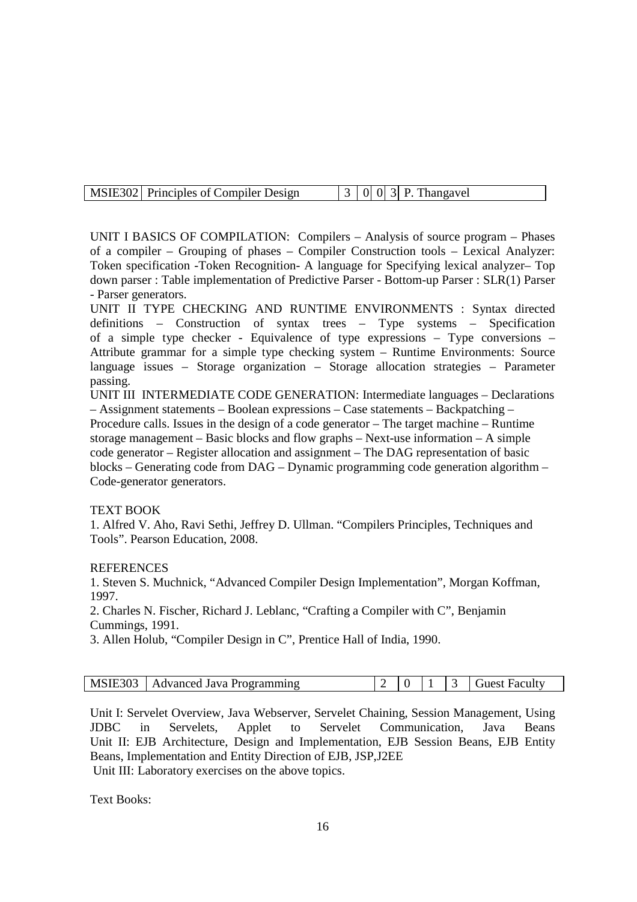| MSIE302 Principles of Compiler Design |  |  |  |
|---------------------------------------|--|--|--|

UNIT I BASICS OF COMPILATION: Compilers – Analysis of source program – Phases of a compiler – Grouping of phases – Compiler Construction tools – Lexical Analyzer: Token specification -Token Recognition- A language for Specifying lexical analyzer– Top down parser : Table implementation of Predictive Parser - Bottom-up Parser : SLR(1) Parser - Parser generators.

UNIT II TYPE CHECKING AND RUNTIME ENVIRONMENTS : Syntax directed definitions – Construction of syntax trees – Type systems – Specification of a simple type checker - Equivalence of type expressions – Type conversions – Attribute grammar for a simple type checking system – Runtime Environments: Source language issues – Storage organization – Storage allocation strategies – Parameter passing.

UNIT III INTERMEDIATE CODE GENERATION: Intermediate languages – Declarations – Assignment statements – Boolean expressions – Case statements – Backpatching – Procedure calls. Issues in the design of a code generator – The target machine – Runtime storage management – Basic blocks and flow graphs – Next-use information – A simple code generator – Register allocation and assignment – The DAG representation of basic blocks – Generating code from DAG – Dynamic programming code generation algorithm – Code-generator generators.

#### TEXT BOOK

1. Alfred V. Aho, Ravi Sethi, Jeffrey D. Ullman. "Compilers Principles, Techniques and Tools". Pearson Education, 2008.

### **REFERENCES**

1. Steven S. Muchnick, "Advanced Compiler Design Implementation", Morgan Koffman, 1997.

2. Charles N. Fischer, Richard J. Leblanc, "Crafting a Compiler with C", Benjamin Cummings, 1991.

3. Allen Holub, "Compiler Design in C", Prentice Hall of India, 1990.

| MSIE303   Advanced Java Programming |  |  |  |
|-------------------------------------|--|--|--|

Unit I: Servelet Overview, Java Webserver, Servelet Chaining, Session Management, Using JDBC in Servelets, Applet to Servelet Communication, Java Beans Unit II: EJB Architecture, Design and Implementation, EJB Session Beans, EJB Entity Beans, Implementation and Entity Direction of EJB, JSP,J2EE Unit III: Laboratory exercises on the above topics.

Text Books: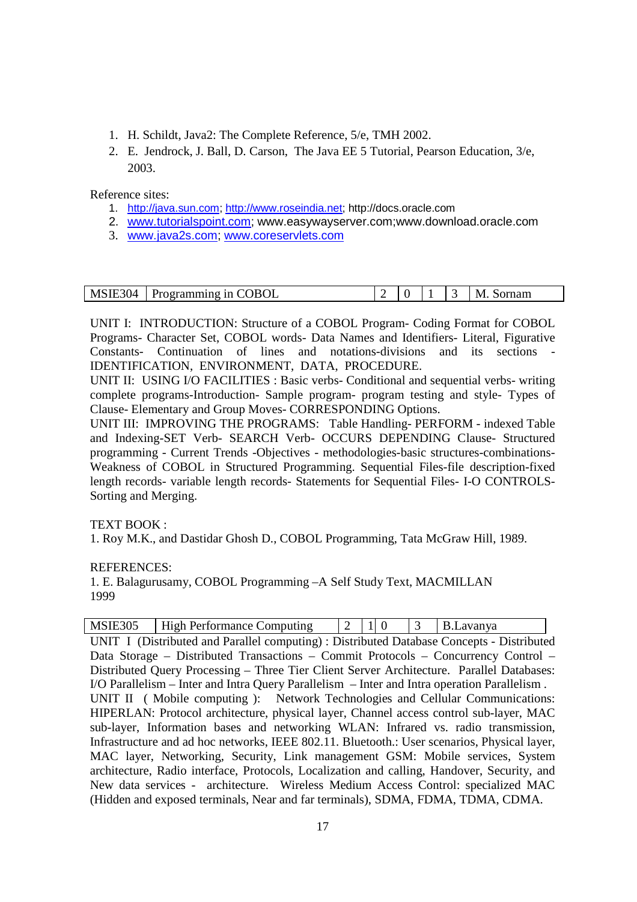- 1. H. Schildt, Java2: The Complete Reference, 5/e, TMH 2002.
- 2. E. Jendrock, J. Ball, D. Carson, The Java EE 5 Tutorial, Pearson Education, 3/e, 2003.

Reference sites:

- 1. http://java.sun.com; http://www.roseindia.net; http://docs.oracle.com
- 2. www.tutorialspoint.com; www.easywayserver.com;www.download.oracle.com
- 3. www.java2s.com; www.coreservlets.com

| MSIE304 | Programming in COBOL |  |  | ornam<br>M |
|---------|----------------------|--|--|------------|

UNIT I: INTRODUCTION: Structure of a COBOL Program- Coding Format for COBOL Programs- Character Set, COBOL words- Data Names and Identifiers- Literal, Figurative Constants- Continuation of lines and notations-divisions and its sections - IDENTIFICATION, ENVIRONMENT, DATA, PROCEDURE.

UNIT II: USING I/O FACILITIES : Basic verbs- Conditional and sequential verbs- writing complete programs-Introduction- Sample program- program testing and style- Types of Clause- Elementary and Group Moves- CORRESPONDING Options.

UNIT III: IMPROVING THE PROGRAMS: Table Handling- PERFORM - indexed Table and Indexing-SET Verb- SEARCH Verb- OCCURS DEPENDING Clause- Structured programming - Current Trends -Objectives - methodologies-basic structures-combinations-Weakness of COBOL in Structured Programming. Sequential Files-file description-fixed length records- variable length records- Statements for Sequential Files- I-O CONTROLS-Sorting and Merging.

TEXT BOOK :

1. Roy M.K., and Dastidar Ghosh D., COBOL Programming, Tata McGraw Hill, 1989.

REFERENCES:

1. E. Balagurusamy, COBOL Programming –A Self Study Text, MACMILLAN 1999

| MSIE305 | High Performance Computing                                                                   | $\begin{vmatrix} 2 & 1 \end{vmatrix}$ 0 |  | 3 | B.Lavanya |  |
|---------|----------------------------------------------------------------------------------------------|-----------------------------------------|--|---|-----------|--|
|         | UNIT I (Distributed and Parallel computing) : Distributed Database Concepts - Distributed    |                                         |  |   |           |  |
|         | Data Storage – Distributed Transactions – Commit Protocols – Concurrency Control –           |                                         |  |   |           |  |
|         | Distributed Query Processing – Three Tier Client Server Architecture. Parallel Databases:    |                                         |  |   |           |  |
|         | I/O Parallelism – Inter and Intra Query Parallelism – Inter and Intra operation Parallelism. |                                         |  |   |           |  |
|         | UNIT II (Mobile computing): Network Technologies and Cellular Communications:                |                                         |  |   |           |  |
|         | HIPERLAN: Protocol architecture, physical layer, Channel access control sub-layer, MAC       |                                         |  |   |           |  |
|         | sub-layer, Information bases and networking WLAN: Infrared vs. radio transmission,           |                                         |  |   |           |  |
|         | Infrastructure and ad hoc networks, IEEE 802.11. Bluetooth.: User scenarios, Physical layer, |                                         |  |   |           |  |
|         | MAC layer, Networking, Security, Link management GSM: Mobile services, System                |                                         |  |   |           |  |
|         | architecture, Radio interface, Protocols, Localization and calling, Handover, Security, and  |                                         |  |   |           |  |
|         | New data services - architecture. Wireless Medium Access Control: specialized MAC            |                                         |  |   |           |  |
|         | (Hidden and exposed terminals, Near and far terminals), SDMA, FDMA, TDMA, CDMA.              |                                         |  |   |           |  |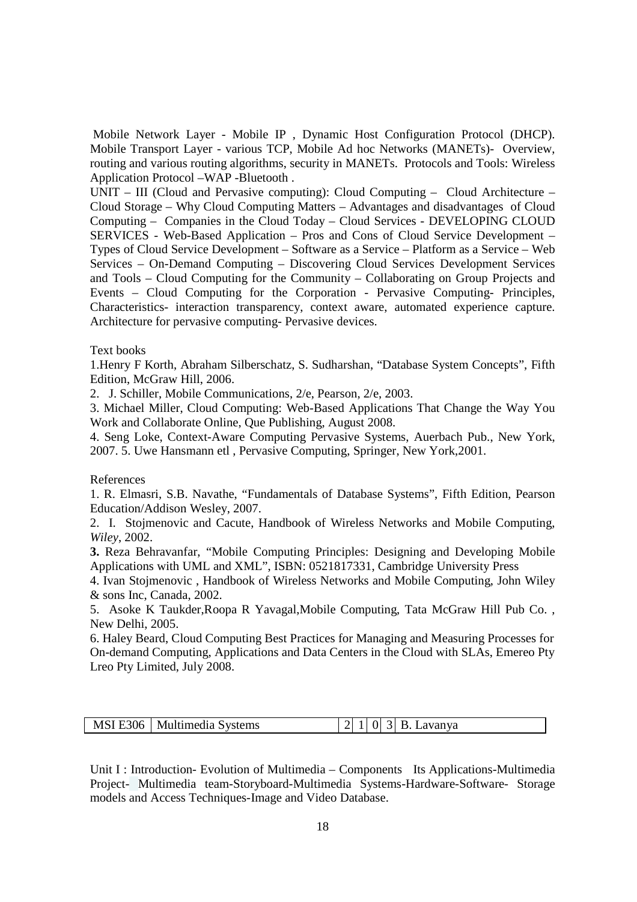Mobile Network Layer - Mobile IP , Dynamic Host Configuration Protocol (DHCP). Mobile Transport Layer - various TCP, Mobile Ad hoc Networks (MANETs)- Overview, routing and various routing algorithms, security in MANETs. Protocols and Tools: Wireless Application Protocol –WAP -Bluetooth .

UNIT – III (Cloud and Pervasive computing): Cloud Computing – Cloud Architecture – Cloud Storage – Why Cloud Computing Matters – Advantages and disadvantages of Cloud Computing – Companies in the Cloud Today – Cloud Services - DEVELOPING CLOUD SERVICES - Web-Based Application – Pros and Cons of Cloud Service Development – Types of Cloud Service Development – Software as a Service – Platform as a Service – Web Services – On-Demand Computing – Discovering Cloud Services Development Services and Tools – Cloud Computing for the Community – Collaborating on Group Projects and Events – Cloud Computing for the Corporation - Pervasive Computing- Principles, Characteristics- interaction transparency, context aware, automated experience capture. Architecture for pervasive computing- Pervasive devices.

#### Text books

1.Henry F Korth, Abraham Silberschatz, S. Sudharshan, "Database System Concepts", Fifth Edition, McGraw Hill, 2006.

2. J. Schiller, Mobile Communications, 2/e, Pearson, 2/e, 2003.

3. Michael Miller, Cloud Computing: Web-Based Applications That Change the Way You Work and Collaborate Online, Que Publishing, August 2008.

4. Seng Loke, Context-Aware Computing Pervasive Systems, Auerbach Pub., New York, 2007. 5. Uwe Hansmann etl , Pervasive Computing, Springer, New York,2001.

#### References

1. R. Elmasri, S.B. Navathe, "Fundamentals of Database Systems", Fifth Edition, Pearson Education/Addison Wesley, 2007.

2. I. Stojmenovic and Cacute, Handbook of Wireless Networks and Mobile Computing, *Wiley*, 2002.

**3.** Reza Behravanfar, "Mobile Computing Principles: Designing and Developing Mobile Applications with UML and XML", ISBN: 0521817331, Cambridge University Press

4. Ivan Stojmenovic , Handbook of Wireless Networks and Mobile Computing, John Wiley & sons Inc, Canada, 2002.

5. Asoke K Taukder,Roopa R Yavagal,Mobile Computing, Tata McGraw Hill Pub Co. , New Delhi, 2005.

6. Haley Beard, Cloud Computing Best Practices for Managing and Measuring Processes for On-demand Computing, Applications and Data Centers in the Cloud with SLAs, Emereo Pty Lreo Pty Limited, July 2008.

| MSI E306   Multimedia Systems | $ 2 1 0 3 $ B. Lavanya |
|-------------------------------|------------------------|
|                               |                        |

Unit I : Introduction- Evolution of Multimedia – Components Its Applications-Multimedia Project- Multimedia team-Storyboard-Multimedia Systems-Hardware-Software- Storage models and Access Techniques-Image and Video Database.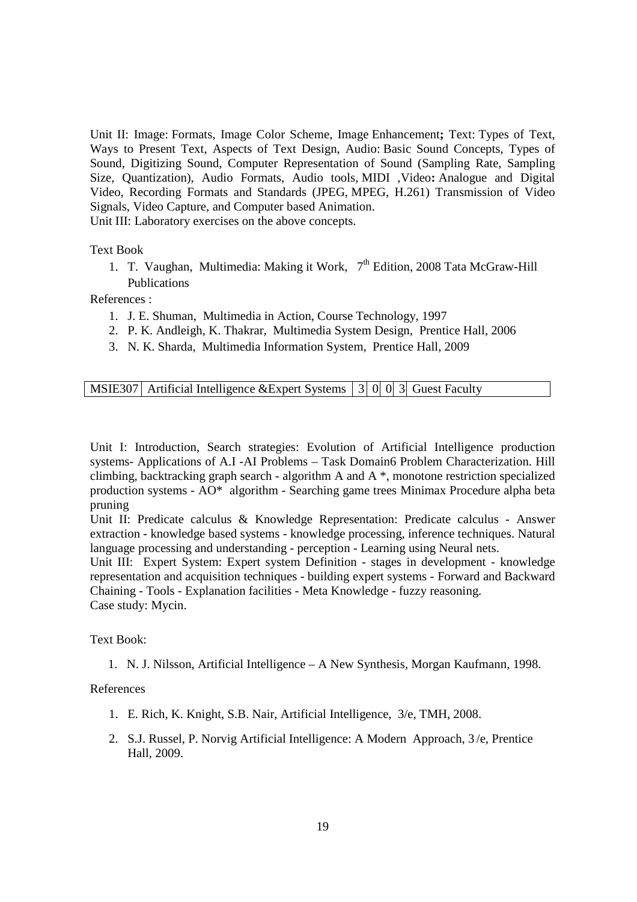Unit II: Image: Formats, Image Color Scheme, Image Enhancement**;** Text: Types of Text, Ways to Present Text, Aspects of Text Design, Audio: Basic Sound Concepts, Types of Sound, Digitizing Sound, Computer Representation of Sound (Sampling Rate, Sampling Size, Quantization), Audio Formats, Audio tools, MIDI ,Video**:** Analogue and Digital Video, Recording Formats and Standards (JPEG, MPEG, H.261) Transmission of Video Signals, Video Capture, and Computer based Animation.

Unit III: Laboratory exercises on the above concepts.

Text Book

1. T. Vaughan, Multimedia: Making it Work,  $7<sup>th</sup>$  Edition, 2008 Tata McGraw-Hill Publications

References :

- 1. J. E. Shuman, Multimedia in Action, Course Technology, 1997
- 2. P. K. Andleigh, K. Thakrar, Multimedia System Design, Prentice Hall, 2006
- 3. N. K. Sharda, Multimedia Information System, Prentice Hall, 2009

MSIE307 Artificial Intelligence &Expert Systems  $\begin{bmatrix} 3 & 0 & 0 \\ 0 & 3 & 0 \end{bmatrix}$  Guest Faculty

Unit I: Introduction, Search strategies: Evolution of Artificial Intelligence production systems- Applications of A.I -AI Problems – Task Domain6 Problem Characterization. Hill climbing, backtracking graph search - algorithm A and A \*, monotone restriction specialized production systems - AO\* algorithm - Searching game trees Minimax Procedure alpha beta pruning

Unit II: Predicate calculus & Knowledge Representation: Predicate calculus - Answer extraction - knowledge based systems - knowledge processing, inference techniques. Natural language processing and understanding - perception - Learning using Neural nets.

Unit III: Expert System: Expert system Definition - stages in development - knowledge representation and acquisition techniques - building expert systems - Forward and Backward Chaining - Tools - Explanation facilities - Meta Knowledge - fuzzy reasoning. Case study: Mycin.

Text Book:

1. N. J. Nilsson, Artificial Intelligence – A New Synthesis, Morgan Kaufmann, 1998.

References

- 1. E. Rich, K. Knight, S.B. Nair, Artificial Intelligence, 3/e, TMH, 2008.
- 2. S.J. Russel, P. Norvig Artificial Intelligence: A Modern Approach, 3 /e, Prentice Hall, 2009.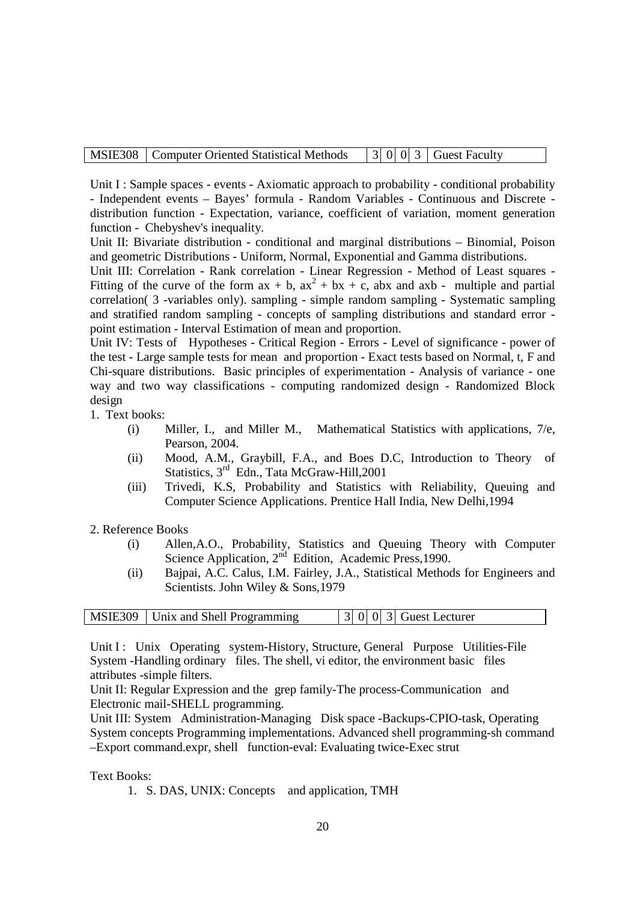Unit I : Sample spaces - events - Axiomatic approach to probability - conditional probability - Independent events – Bayes' formula - Random Variables - Continuous and Discrete distribution function - Expectation, variance, coefficient of variation, moment generation function - Chebyshev's inequality.

Unit II: Bivariate distribution - conditional and marginal distributions – Binomial, Poison and geometric Distributions - Uniform, Normal, Exponential and Gamma distributions.

Unit III: Correlation - Rank correlation - Linear Regression - Method of Least squares - Fitting of the curve of the form  $ax + b$ ,  $ax^2 + bx + c$ , abx and  $axb$  - multiple and partial correlation( 3 -variables only). sampling - simple random sampling - Systematic sampling and stratified random sampling - concepts of sampling distributions and standard error point estimation - Interval Estimation of mean and proportion.

Unit IV: Tests of Hypotheses - Critical Region - Errors - Level of significance - power of the test - Large sample tests for mean and proportion - Exact tests based on Normal, t, F and Chi-square distributions. Basic principles of experimentation - Analysis of variance - one way and two way classifications - computing randomized design - Randomized Block design

1. Text books:

- (i) Miller, I., and Miller M., Mathematical Statistics with applications, 7/e, Pearson, 2004.
- (ii) Mood, A.M., Graybill, F.A., and Boes D.C, Introduction to Theory of Statistics, 3<sup>rd</sup> Edn., Tata McGraw-Hill, 2001
- (iii) Trivedi, K.S, Probability and Statistics with Reliability, Queuing and Computer Science Applications. Prentice Hall India, New Delhi,1994
- 2. Reference Books
	- (i) Allen,A.O., Probability, Statistics and Queuing Theory with Computer Science Application, 2<sup>nd</sup> Edition, Academic Press,1990.
	- (ii) Bajpai, A.C. Calus, I.M. Fairley, J.A., Statistical Methods for Engineers and Scientists. John Wiley & Sons,1979

| MSIE309   Unix and Shell Programming | $\vert 3 \vert 0 \vert 0 \vert 3 \vert$ Guest Lecturer |
|--------------------------------------|--------------------------------------------------------|
|--------------------------------------|--------------------------------------------------------|

Unit I : Unix Operating system-History, Structure, General Purpose Utilities-File System -Handling ordinary files. The shell, vi editor, the environment basic files attributes -simple filters.

Unit II: Regular Expression and the grep family-The process-Communication and Electronic mail-SHELL programming.

Unit III: System Administration-Managing Disk space -Backups-CPIO-task, Operating System concepts Programming implementations. Advanced shell programming-sh command –Export command.expr, shell function-eval: Evaluating twice-Exec strut

#### Text Books:

1. S. DAS, UNIX: Concepts and application, TMH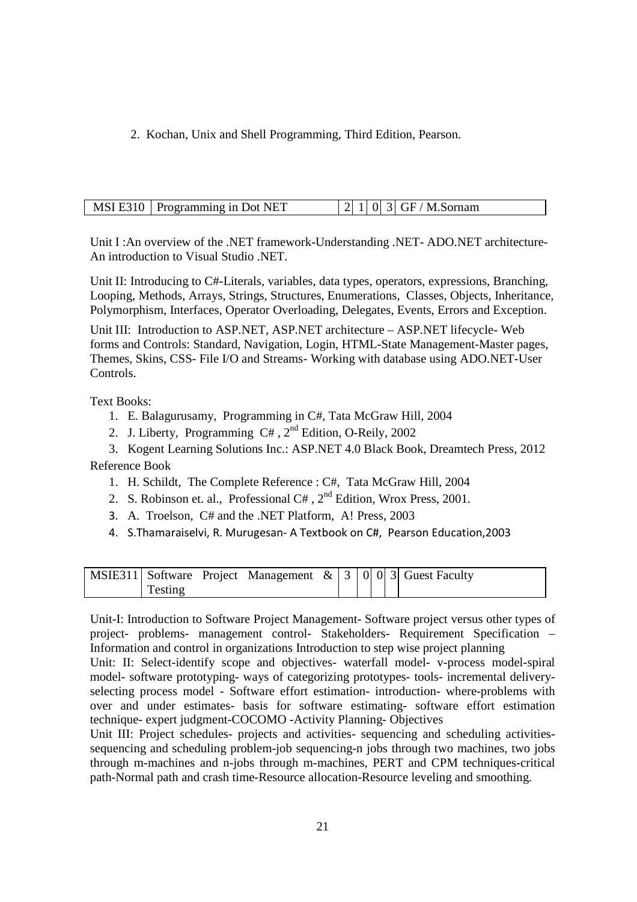2. Kochan, Unix and Shell Programming, Third Edition, Pearson.

| MSI E310   Programming in Dot NET |  |  | $ 2 1 0 3 $ GF / M.Sornam |
|-----------------------------------|--|--|---------------------------|
|                                   |  |  |                           |

Unit I :An overview of the .NET framework-Understanding .NET- ADO.NET architecture-An introduction to Visual Studio .NET.

Unit II: Introducing to C#-Literals, variables, data types, operators, expressions, Branching, Looping, Methods, Arrays, Strings, Structures, Enumerations, Classes, Objects, Inheritance, Polymorphism, Interfaces, Operator Overloading, Delegates, Events, Errors and Exception.

Unit III: Introduction to ASP.NET, ASP.NET architecture – ASP.NET lifecycle- Web forms and Controls: Standard, Navigation, Login, HTML-State Management-Master pages, Themes, Skins, CSS- File I/O and Streams- Working with database using ADO.NET-User Controls.

Text Books:

- 1. E. Balagurusamy, Programming in C#, Tata McGraw Hill, 2004
- 2. J. Liberty, Programming C# , 2nd Edition, O-Reily, 2002

3. Kogent Learning Solutions Inc.: ASP.NET 4.0 Black Book, Dreamtech Press, 2012 Reference Book

- 1. H. Schildt, The Complete Reference : C#, Tata McGraw Hill, 2004
- 2. S. Robinson et. al., Professional C#,  $2^{nd}$  Edition, Wrox Press, 2001.
- 3. A. Troelson, C# and the .NET Platform, A! Press, 2003
- 4. S.Thamaraiselvi, R. Murugesan- A Textbook on C#, Pearson Education,2003

|         |  |  |  | 'MSIE311   Software Project Management $\&$   3   0   0   3   Guest Faculty |
|---------|--|--|--|-----------------------------------------------------------------------------|
| Testing |  |  |  |                                                                             |

Unit-I: Introduction to Software Project Management- Software project versus other types of project- problems- management control- Stakeholders- Requirement Specification – Information and control in organizations Introduction to step wise project planning

Unit: II: Select-identify scope and objectives- waterfall model- v-process model-spiral model- software prototyping- ways of categorizing prototypes- tools- incremental deliveryselecting process model - Software effort estimation- introduction- where-problems with over and under estimates- basis for software estimating- software effort estimation technique- expert judgment-COCOMO -Activity Planning- Objectives

Unit III: Project schedules- projects and activities- sequencing and scheduling activitiessequencing and scheduling problem-job sequencing-n jobs through two machines, two jobs through m-machines and n-jobs through m-machines, PERT and CPM techniques-critical path-Normal path and crash time-Resource allocation-Resource leveling and smoothing.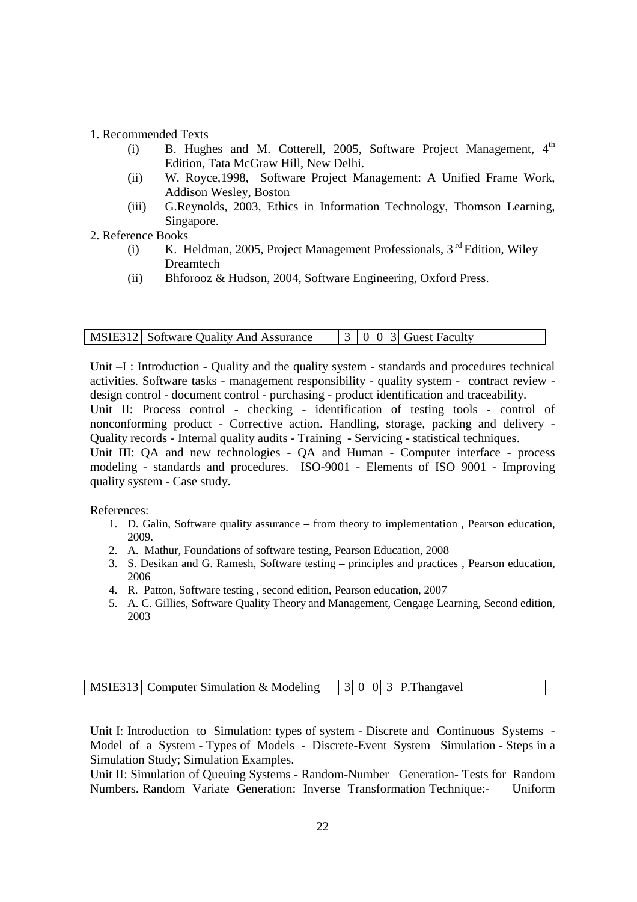#### 1. Recommended Texts

- (i) B. Hughes and M. Cotterell, 2005, Software Project Management,  $4<sup>th</sup>$ Edition, Tata McGraw Hill, New Delhi.
- (ii) W. Royce,1998, Software Project Management: A Unified Frame Work, Addison Wesley, Boston
- (iii) G.Reynolds, 2003, Ethics in Information Technology, Thomson Learning, Singapore.
- 2. Reference Books
	- (i) K. Heldman, 2005, Project Management Professionals,  $3<sup>rd</sup>$  Edition, Wiley Dreamtech
	- (ii) Bhforooz & Hudson, 2004, Software Engineering, Oxford Press.

Unit –I : Introduction - Quality and the quality system - standards and procedures technical activities. Software tasks - management responsibility - quality system - contract review design control - document control - purchasing - product identification and traceability.

Unit II: Process control - checking - identification of testing tools - control of nonconforming product - Corrective action. Handling, storage, packing and delivery - Quality records - Internal quality audits - Training - Servicing - statistical techniques.

Unit III: QA and new technologies - QA and Human - Computer interface - process modeling - standards and procedures. ISO-9001 - Elements of ISO 9001 - Improving quality system - Case study.

References:

- 1. D. Galin, Software quality assurance from theory to implementation , Pearson education, 2009.
- 2. A. Mathur, Foundations of software testing, Pearson Education, 2008
- 3. S. Desikan and G. Ramesh, Software testing principles and practices , Pearson education, 2006
- 4. R. Patton, Software testing , second edition, Pearson education, 2007
- 5. A. C. Gillies, Software Quality Theory and Management, Cengage Learning, Second edition, 2003

|  | MSIE313 Computer Simulation & Modeling |  |  |  |  | $\vert$ 3   0   0   3   P. Thangavel |
|--|----------------------------------------|--|--|--|--|--------------------------------------|
|--|----------------------------------------|--|--|--|--|--------------------------------------|

Unit I: Introduction to Simulation: types of system - Discrete and Continuous Systems - Model of a System - Types of Models - Discrete-Event System Simulation - Steps in a Simulation Study; Simulation Examples.

Unit II: Simulation of Queuing Systems - Random-Number Generation- Tests for Random Numbers. Random Variate Generation: Inverse Transformation Technique:- Uniform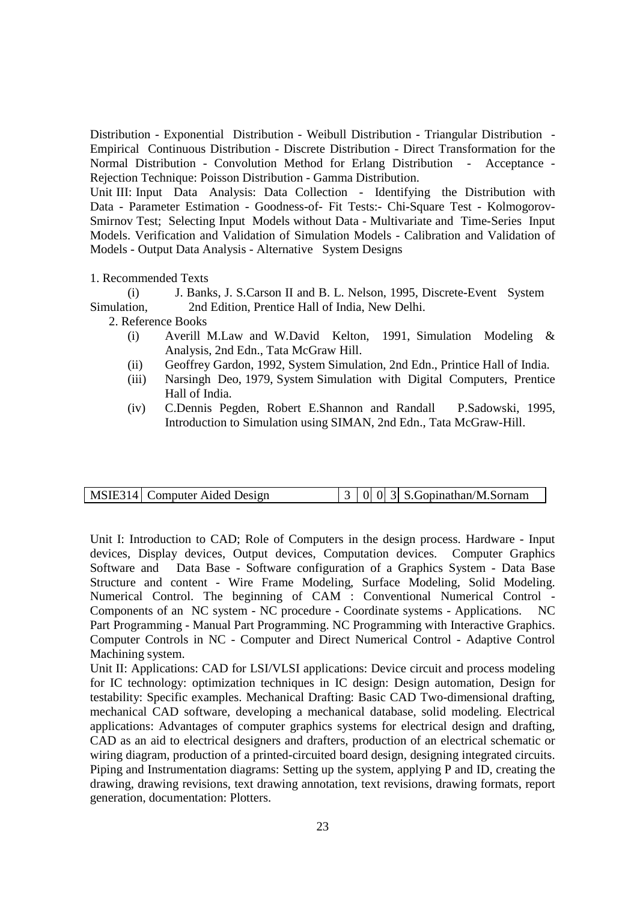Distribution - Exponential Distribution - Weibull Distribution - Triangular Distribution - Empirical Continuous Distribution - Discrete Distribution - Direct Transformation for the Normal Distribution - Convolution Method for Erlang Distribution - Acceptance - Rejection Technique: Poisson Distribution - Gamma Distribution.

Unit III: Input Data Analysis: Data Collection - Identifying the Distribution with Data - Parameter Estimation - Goodness-of- Fit Tests:- Chi-Square Test - Kolmogorov-Smirnov Test; Selecting Input Models without Data - Multivariate and Time-Series Input Models. Verification and Validation of Simulation Models - Calibration and Validation of Models - Output Data Analysis - Alternative System Designs

1. Recommended Texts

(i) J. Banks, J. S.Carson II and B. L. Nelson, 1995, Discrete-Event System Simulation, 2nd Edition, Prentice Hall of India, New Delhi.

2. Reference Books

- (i) Averill M.Law and W.David Kelton, 1991, Simulation Modeling & Analysis, 2nd Edn., Tata McGraw Hill.
- (ii) Geoffrey Gardon, 1992, System Simulation, 2nd Edn., Printice Hall of India.
- (iii) Narsingh Deo, 1979, System Simulation with Digital Computers, Prentice Hall of India.
- (iv) C.Dennis Pegden, Robert E.Shannon and Randall P.Sadowski, 1995, Introduction to Simulation using SIMAN, 2nd Edn., Tata McGraw-Hill.

|  | MSIE314 Computer Aided Design |  |  |  |  | $\vert 3 \vert 0 \vert 0 \vert 3 \vert$ S. Gopinathan/M. Sornam |
|--|-------------------------------|--|--|--|--|-----------------------------------------------------------------|
|--|-------------------------------|--|--|--|--|-----------------------------------------------------------------|

Unit I: Introduction to CAD; Role of Computers in the design process. Hardware - Input devices, Display devices, Output devices, Computation devices. Computer Graphics Software and Data Base - Software configuration of a Graphics System - Data Base Structure and content - Wire Frame Modeling, Surface Modeling, Solid Modeling. Numerical Control. The beginning of CAM : Conventional Numerical Control - Components of an NC system - NC procedure - Coordinate systems - Applications. NC Part Programming - Manual Part Programming. NC Programming with Interactive Graphics. Computer Controls in NC - Computer and Direct Numerical Control - Adaptive Control Machining system.

Unit II: Applications: CAD for LSI/VLSI applications: Device circuit and process modeling for IC technology: optimization techniques in IC design: Design automation, Design for testability: Specific examples. Mechanical Drafting: Basic CAD Two-dimensional drafting, mechanical CAD software, developing a mechanical database, solid modeling. Electrical applications: Advantages of computer graphics systems for electrical design and drafting, CAD as an aid to electrical designers and drafters, production of an electrical schematic or wiring diagram, production of a printed-circuited board design, designing integrated circuits. Piping and Instrumentation diagrams: Setting up the system, applying P and ID, creating the drawing, drawing revisions, text drawing annotation, text revisions, drawing formats, report generation, documentation: Plotters.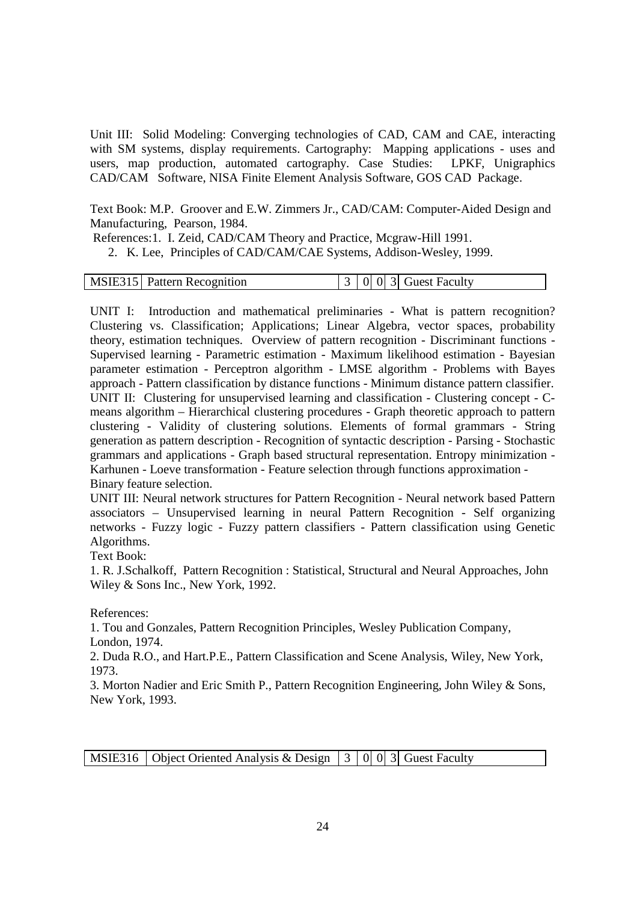Unit III: Solid Modeling: Converging technologies of CAD, CAM and CAE, interacting with SM systems, display requirements. Cartography: Mapping applications - uses and users, map production, automated cartography. Case Studies: LPKF, Unigraphics CAD/CAM Software, NISA Finite Element Analysis Software, GOS CAD Package.

Text Book: M.P. Groover and E.W. Zimmers Jr., CAD/CAM: Computer-Aided Design and Manufacturing, Pearson, 1984.

References:1. I. Zeid, CAD/CAM Theory and Practice, Mcgraw-Hill 1991.

2. K. Lee, Principles of CAD/CAM/CAE Systems, Addison-Wesley, 1999.

|  | MSIE315 Pattern Recognition |  |  |  |  | $\begin{bmatrix} 3 & 0 & 0 & 3 \end{bmatrix}$ Guest Faculty |
|--|-----------------------------|--|--|--|--|-------------------------------------------------------------|
|--|-----------------------------|--|--|--|--|-------------------------------------------------------------|

UNIT I: Introduction and mathematical preliminaries - What is pattern recognition? Clustering vs. Classification; Applications; Linear Algebra, vector spaces, probability theory, estimation techniques. Overview of pattern recognition - Discriminant functions - Supervised learning - Parametric estimation - Maximum likelihood estimation - Bayesian parameter estimation - Perceptron algorithm - LMSE algorithm - Problems with Bayes approach - Pattern classification by distance functions - Minimum distance pattern classifier. UNIT II: Clustering for unsupervised learning and classification - Clustering concept - Cmeans algorithm – Hierarchical clustering procedures - Graph theoretic approach to pattern clustering - Validity of clustering solutions. Elements of formal grammars - String generation as pattern description - Recognition of syntactic description - Parsing - Stochastic grammars and applications - Graph based structural representation. Entropy minimization - Karhunen - Loeve transformation - Feature selection through functions approximation - Binary feature selection.

UNIT III: Neural network structures for Pattern Recognition - Neural network based Pattern associators – Unsupervised learning in neural Pattern Recognition - Self organizing networks - Fuzzy logic - Fuzzy pattern classifiers - Pattern classification using Genetic Algorithms.

Text Book:

1. R. J.Schalkoff, Pattern Recognition : Statistical, Structural and Neural Approaches, John Wiley & Sons Inc., New York, 1992.

References:

1. Tou and Gonzales, Pattern Recognition Principles, Wesley Publication Company, London, 1974.

2. Duda R.O., and Hart.P.E., Pattern Classification and Scene Analysis, Wiley, New York, 1973.

3. Morton Nadier and Eric Smith P., Pattern Recognition Engineering, John Wiley & Sons, New York, 1993.

MSIE316 | Object Oriented Analysis & Design  $\begin{bmatrix} 3 & 0 & 0 & 3 \end{bmatrix}$  Guest Faculty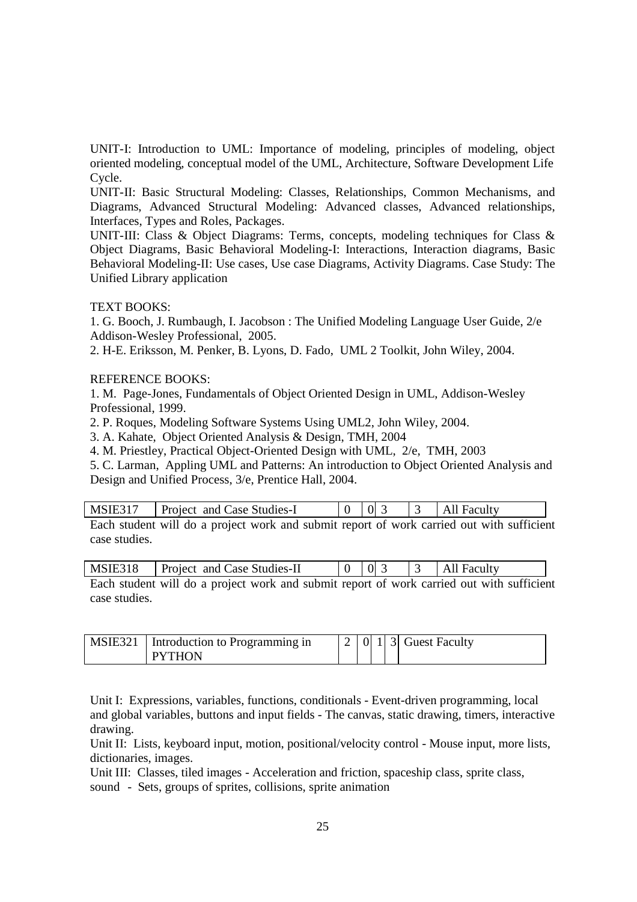UNIT-I: Introduction to UML: Importance of modeling, principles of modeling, object oriented modeling, conceptual model of the UML, Architecture, Software Development Life Cycle.

UNIT-II: Basic Structural Modeling: Classes, Relationships, Common Mechanisms, and Diagrams, Advanced Structural Modeling: Advanced classes, Advanced relationships, Interfaces, Types and Roles, Packages.

UNIT-III: Class & Object Diagrams: Terms, concepts, modeling techniques for Class & Object Diagrams, Basic Behavioral Modeling-I: Interactions, Interaction diagrams, Basic Behavioral Modeling-II: Use cases, Use case Diagrams, Activity Diagrams. Case Study: The Unified Library application

#### TEXT BOOKS:

1. G. Booch, J. Rumbaugh, I. Jacobson : The Unified Modeling Language User Guide, 2/e Addison-Wesley Professional, 2005.

2. H-E. Eriksson, M. Penker, B. Lyons, D. Fado, UML 2 Toolkit, John Wiley, 2004.

#### REFERENCE BOOKS:

1. M. Page-Jones, Fundamentals of Object Oriented Design in UML, Addison-Wesley Professional, 1999.

2. P. Roques, Modeling Software Systems Using UML2, John Wiley, 2004.

3. A. Kahate, Object Oriented Analysis & Design, TMH, 2004

4. M. Priestley, Practical Object-Oriented Design with UML, 2/e, TMH, 2003

5. C. Larman, Appling UML and Patterns: An introduction to Object Oriented Analysis and Design and Unified Process, 3/e, Prentice Hall, 2004.

| MSIE317   Project and Case Studies-I                                                      |  | $\left  \right $ 0 3 | $\vert$ 3   All Faculty |
|-------------------------------------------------------------------------------------------|--|----------------------|-------------------------|
| Each student will do a project work and submit report of work carried out with sufficient |  |                      |                         |

ent will do a project work and submit report of work carried out with sufficient case studies.

| MSIE318 | Project and Case Studies-II                                                               |  |  | $\frac{1}{2}$   $\frac{3}{2}$   All Faculty |  |
|---------|-------------------------------------------------------------------------------------------|--|--|---------------------------------------------|--|
|         | Each student will do a project work and submit report of work carried out with sufficient |  |  |                                             |  |

Each student will do a project work and submit report of work carried out with sufficient case studies.

| MSIE321   Introduction to Programming in |  |  | $\vert 2 \vert 0 \vert 1 \vert 3 \vert$ Guest Faculty |
|------------------------------------------|--|--|-------------------------------------------------------|
| <b>PYTHON</b>                            |  |  |                                                       |

Unit I: Expressions, variables, functions, conditionals - Event-driven programming, local and global variables, buttons and input fields - The canvas, static drawing, timers, interactive drawing.

Unit II: Lists, keyboard input, motion, positional/velocity control - Mouse input, more lists, dictionaries, images.

Unit III: Classes, tiled images - Acceleration and friction, spaceship class, sprite class, sound - Sets, groups of sprites, collisions, sprite animation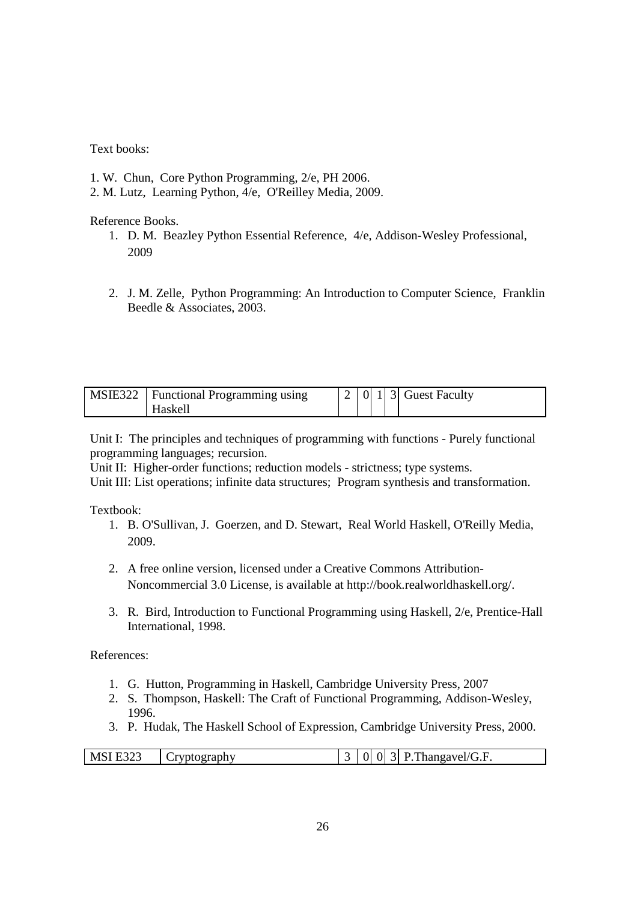Text books:

- 1. W. Chun, Core Python Programming, 2/e, PH 2006.
- 2. M. Lutz, Learning Python, 4/e, O'Reilley Media, 2009.

Reference Books.

- 1. D. M. Beazley Python Essential Reference, 4/e, Addison-Wesley Professional, 2009
- 2. J. M. Zelle, Python Programming: An Introduction to Computer Science, Franklin Beedle & Associates, 2003.

| MSIE322   Functional Programming using |  |  | $\vert 2 \vert 0 \vert 1 \vert 3 \vert$ Guest Faculty |
|----------------------------------------|--|--|-------------------------------------------------------|
| Haskell                                |  |  |                                                       |

Unit I: The principles and techniques of programming with functions - Purely functional programming languages; recursion.

Unit II: Higher-order functions; reduction models - strictness; type systems.

Unit III: List operations; infinite data structures; Program synthesis and transformation.

Textbook:

- 1. B. O'Sullivan, J. Goerzen, and D. Stewart, Real World Haskell, O'Reilly Media, 2009.
- 2. A free online version, licensed under a Creative Commons Attribution-Noncommercial 3.0 License, is available at http://book.realworldhaskell.org/.
- 3. R. Bird, Introduction to Functional Programming using Haskell, 2/e, Prentice-Hall International, 1998.

References:

- 1. G. Hutton, Programming in Haskell, Cambridge University Press, 2007
- 2. S. Thompson, Haskell: The Craft of Functional Programming, Addison-Wesley, 1996.
- 3. P. Hudak, The Haskell School of Expression, Cambridge University Press, 2000.

| $\sim$ $\sim$ $\sim$<br>Thangavel/G.F.<br>MS!<br>T1<br><b>CONTRACTOR</b><br>,,<br>тарп<br>ง ก<br>رے کی لیے<br>$-$ |
|-------------------------------------------------------------------------------------------------------------------|
|-------------------------------------------------------------------------------------------------------------------|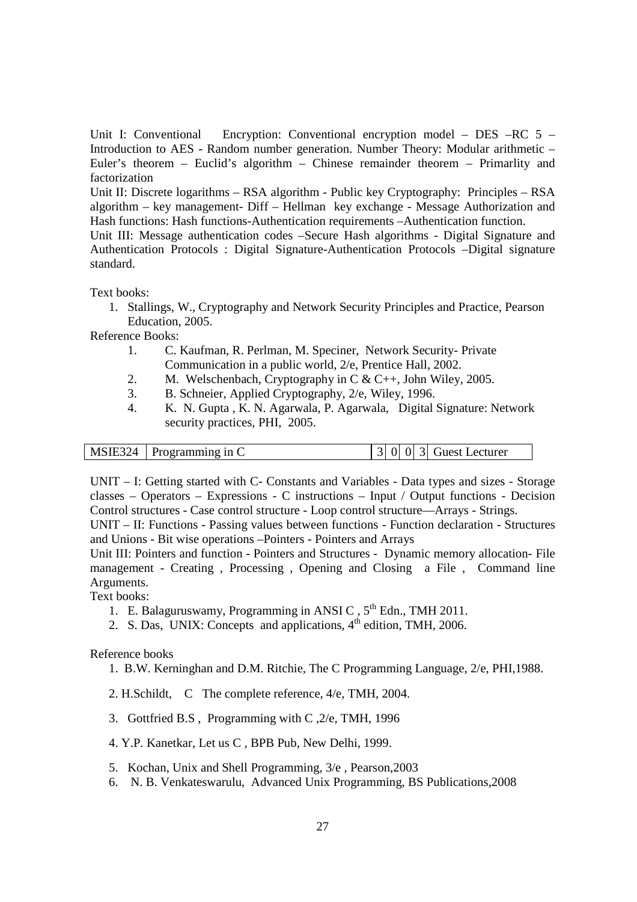Unit I: Conventional Encryption: Conventional encryption model – DES –RC 5 – Introduction to AES - Random number generation. Number Theory: Modular arithmetic – Euler's theorem – Euclid's algorithm – Chinese remainder theorem – Primarlity and factorization

Unit II: Discrete logarithms – RSA algorithm - Public key Cryptography: Principles – RSA algorithm – key management- Diff – Hellman key exchange - Message Authorization and Hash functions: Hash functions-Authentication requirements –Authentication function.

Unit III: Message authentication codes –Secure Hash algorithms - Digital Signature and Authentication Protocols : Digital Signature-Authentication Protocols –Digital signature standard.

Text books:

1. Stallings, W., Cryptography and Network Security Principles and Practice, Pearson Education, 2005.

Reference Books:

- 1. C. Kaufman, R. Perlman, M. Speciner, Network Security- Private Communication in a public world, 2/e, Prentice Hall, 2002.
- 2. M. Welschenbach, Cryptography in C & C++, John Wiley, 2005.
- 3. B. Schneier, Applied Cryptography, 2/e, Wiley, 1996.
- 4. K. N. Gupta , K. N. Agarwala, P. Agarwala, Digital Signature: Network security practices, PHI, 2005.

|  | $MSIE324$   Programming in C |  |  |  |  | $ 0 $ 0 3 Guest Lecturer |
|--|------------------------------|--|--|--|--|--------------------------|
|--|------------------------------|--|--|--|--|--------------------------|

UNIT – I: Getting started with C- Constants and Variables - Data types and sizes - Storage classes – Operators – Expressions - C instructions – Input / Output functions - Decision Control structures - Case control structure - Loop control structure—Arrays - Strings.

UNIT – II: Functions - Passing values between functions - Function declaration - Structures and Unions - Bit wise operations –Pointers - Pointers and Arrays

Unit III: Pointers and function - Pointers and Structures - Dynamic memory allocation- File management - Creating , Processing , Opening and Closing a File , Command line Arguments.

Text books:

- 1. E. Balaguruswamy, Programming in ANSI C,  $5^{th}$  Edn., TMH 2011.
- 2. S. Das, UNIX: Concepts and applications,  $4<sup>th</sup>$  edition, TMH, 2006.

Reference books

- 1. B.W. Kerninghan and D.M. Ritchie, The C Programming Language, 2/e, PHI,1988.
- 2. H.Schildt, C The complete reference, 4/e, TMH, 2004.
- 3. Gottfried B.S , Programming with C ,2/e, TMH, 1996
- 4. Y.P. Kanetkar, Let us C , BPB Pub, New Delhi, 1999.
- 5. Kochan, Unix and Shell Programming, 3/e , Pearson,2003
- 6. N. B. Venkateswarulu, Advanced Unix Programming, BS Publications,2008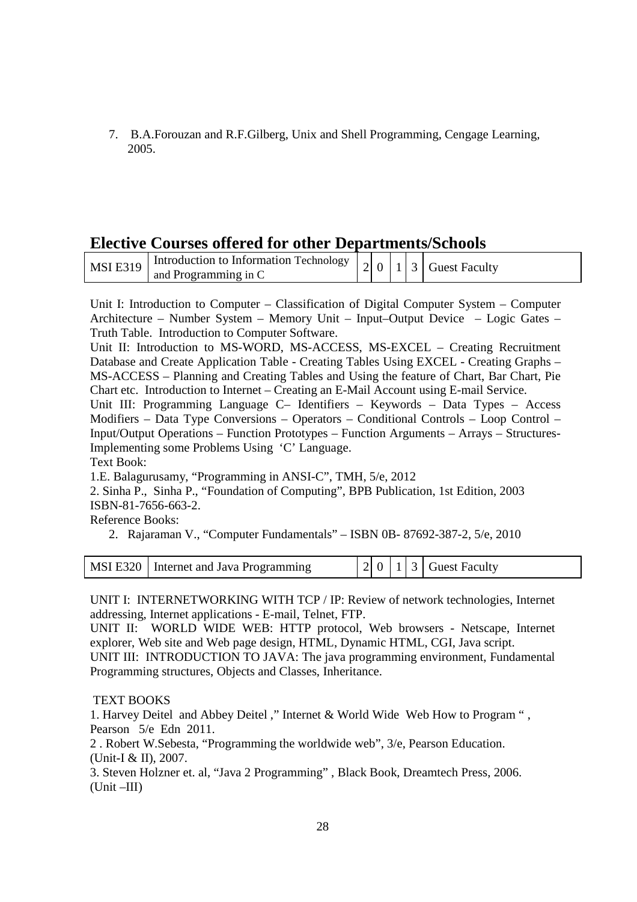7. B.A.Forouzan and R.F.Gilberg, Unix and Shell Programming, Cengage Learning*,* 2005.

## **Elective Courses offered for other Departments/Schools**

| <b>MSI E319</b> | $\frac{1}{2}$   Introduction to Information Technology   2 0 1 3 Guest Faculty |  |  |  |
|-----------------|--------------------------------------------------------------------------------|--|--|--|
|                 | and Programming in C                                                           |  |  |  |

Unit I: Introduction to Computer – Classification of Digital Computer System – Computer Architecture – Number System – Memory Unit – Input–Output Device – Logic Gates – Truth Table. Introduction to Computer Software.

Unit II: Introduction to MS-WORD, MS-ACCESS, MS-EXCEL – Creating Recruitment Database and Create Application Table - Creating Tables Using EXCEL - Creating Graphs – MS-ACCESS – Planning and Creating Tables and Using the feature of Chart, Bar Chart, Pie Chart etc. Introduction to Internet – Creating an E-Mail Account using E-mail Service.

Unit III: Programming Language C– Identifiers – Keywords – Data Types – Access Modifiers – Data Type Conversions – Operators – Conditional Controls – Loop Control – Input/Output Operations – Function Prototypes – Function Arguments – Arrays – Structures-Implementing some Problems Using 'C' Language.

Text Book:

1.E. Balagurusamy, "Programming in ANSI-C", TMH, 5/e, 2012

2. Sinha P., Sinha P., "Foundation of Computing", BPB Publication, 1st Edition, 2003 ISBN-81-7656-663-2.

Reference Books:

2. Rajaraman V., "Computer Fundamentals" – ISBN 0B- 87692-387-2, 5/e, 2010

|  | MSI E320   Internet and Java Programming |  | $\vert 2 \vert 0 \vert 1 \vert 3 \vert$ Guest Faculty |
|--|------------------------------------------|--|-------------------------------------------------------|
|--|------------------------------------------|--|-------------------------------------------------------|

UNIT I: INTERNETWORKING WITH TCP / IP: Review of network technologies, Internet addressing, Internet applications - E-mail, Telnet, FTP.

UNIT II: WORLD WIDE WEB: HTTP protocol, Web browsers - Netscape, Internet explorer, Web site and Web page design, HTML, Dynamic HTML, CGI, Java script. UNIT III: INTRODUCTION TO JAVA: The java programming environment, Fundamental Programming structures, Objects and Classes, Inheritance.

## TEXT BOOKS

1. Harvey Deitel and Abbey Deitel ," Internet & World Wide Web How to Program " , Pearson 5/e Edn 2011.

2 . Robert W.Sebesta, "Programming the worldwide web", 3/e, Pearson Education. (Unit-I & II), 2007.

3. Steven Holzner et. al, "Java 2 Programming" , Black Book, Dreamtech Press, 2006. (Unit –III)